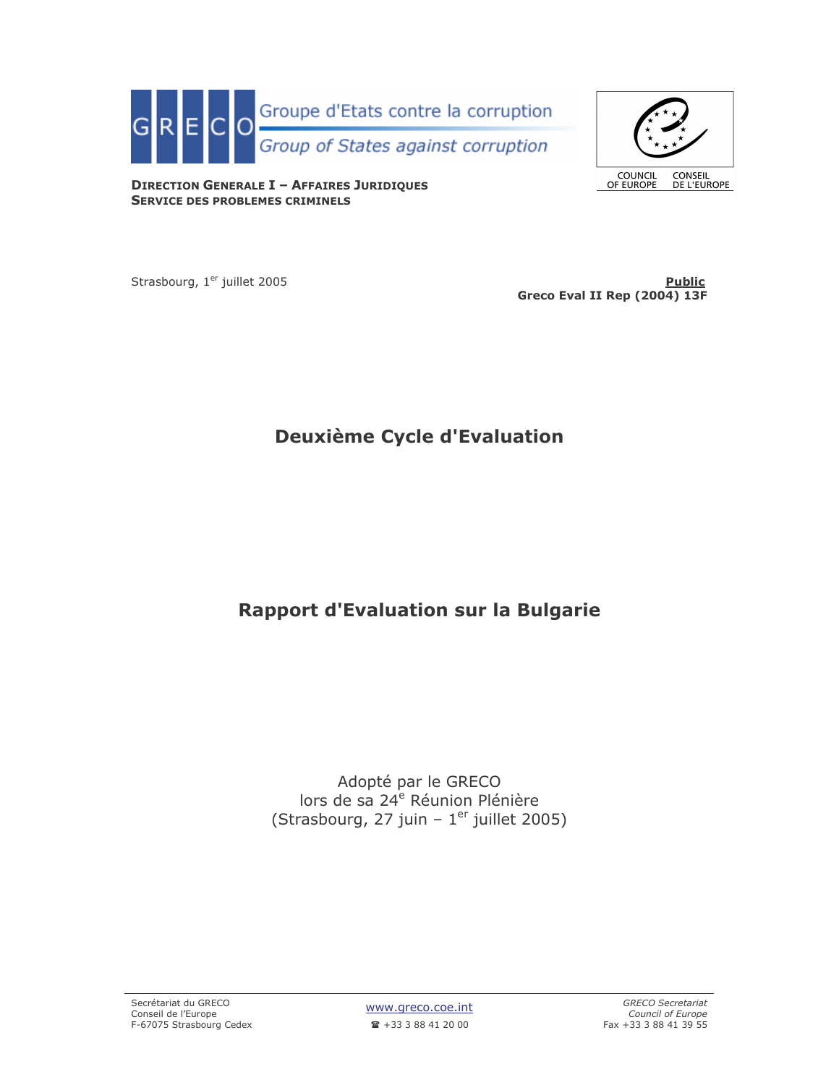



**DIRECTION GENERALE I - AFFAIRES JURIDIQUES SERVICE DES PROBLEMES CRIMINELS** 

Strasbourg, 1<sup>er</sup> juillet 2005

**Public** Greco Eval II Rep (2004) 13F

# **Deuxième Cycle d'Evaluation**

# **Rapport d'Evaluation sur la Bulgarie**

Adopté par le GRECO<br>lors de sa 24<sup>e</sup> Réunion Plénière (Strasbourg, 27 juin –  $1<sup>er</sup>$  juillet 2005)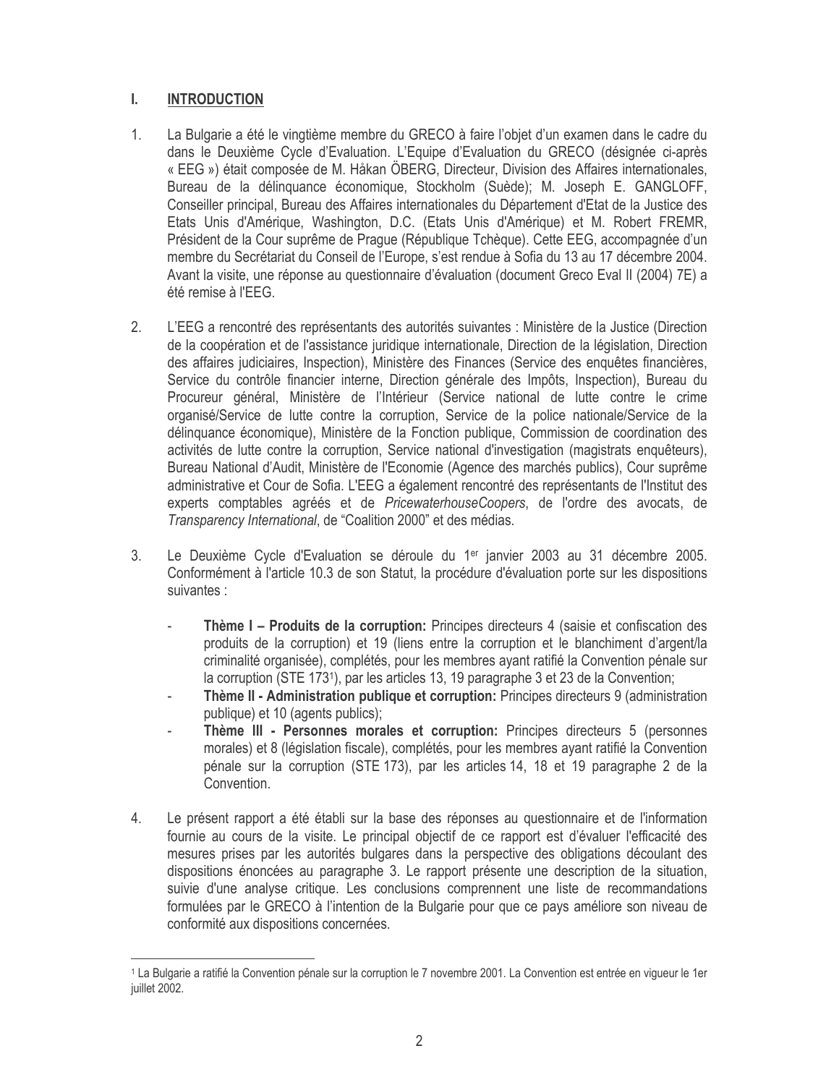#### L. **INTRODUCTION**

- $1<sup>1</sup>$ La Bulgarie a été le vingtième membre du GRECO à faire l'objet d'un examen dans le cadre du dans le Deuxième Cycle d'Evaluation. L'Equipe d'Evaluation du GRECO (désignée ci-après « EEG ») était composée de M. Håkan ÖBERG, Directeur, Division des Affaires internationales, Bureau de la délinguance économique, Stockholm (Suède); M. Joseph E. GANGLOFF, Conseiller principal, Bureau des Affaires internationales du Département d'Etat de la Justice des Etats Unis d'Amérique, Washington, D.C. (Etats Unis d'Amérique) et M. Robert FREMR, Président de la Cour suprême de Prague (République Tchèque). Cette EEG, accompagnée d'un membre du Secrétariat du Conseil de l'Europe, s'est rendue à Sofia du 13 au 17 décembre 2004. Avant la visite, une réponse au questionnaire d'évaluation (document Greco Eval II (2004) 7E) a été remise à l'EEG.
- $2.$ L'EEG a rencontré des représentants des autorités suivantes : Ministère de la Justice (Direction de la coopération et de l'assistance juridique internationale, Direction de la législation, Direction des affaires judiciaires, Inspection), Ministère des Finances (Service des enquêtes financières, Service du contrôle financier interne, Direction générale des Impôts, Inspection), Bureau du Procureur général, Ministère de l'Intérieur (Service national de lutte contre le crime organisé/Service de lutte contre la corruption, Service de la police nationale/Service de la délinguance économique), Ministère de la Fonction publique, Commission de coordination des activités de lutte contre la corruption. Service national d'investigation (magistrats enquêteurs). Bureau National d'Audit, Ministère de l'Economie (Agence des marchés publics), Cour suprême administrative et Cour de Sofia. L'EEG a également rencontré des représentants de l'Institut des experts comptables agréés et de PricewaterhouseCoopers, de l'ordre des avocats, de Transparency International, de "Coalition 2000" et des médias.
- 3. Le Deuxième Cycle d'Evaluation se déroule du 1<sup>er</sup> janvier 2003 au 31 décembre 2005. Conformément à l'article 10.3 de son Statut, la procédure d'évaluation porte sur les dispositions suivantes :
	- Thème I Produits de la corruption: Principes directeurs 4 (saisie et confiscation des produits de la corruption) et 19 (liens entre la corruption et le blanchiment d'argent/la criminalité organisée), complétés, pour les membres ayant ratifié la Convention pénale sur la corruption (STE 1731), par les articles 13, 19 paragraphe 3 et 23 de la Convention:
	- Thème II Administration publique et corruption: Principes directeurs 9 (administration publique) et 10 (agents publics);
	- Thème III Personnes morales et corruption: Principes directeurs 5 (personnes morales) et 8 (législation fiscale), complétés, pour les membres ayant ratifié la Convention pénale sur la corruption (STE 173), par les articles 14, 18 et 19 paragraphe 2 de la Convention.
- 4. Le présent rapport a été établi sur la base des réponses au questionnaire et de l'information fournie au cours de la visite. Le principal objectif de ce rapport est d'évaluer l'efficacité des mesures prises par les autorités bulgares dans la perspective des obligations découlant des dispositions énoncées au paragraphe 3. Le rapport présente une description de la situation, suivie d'une analyse critique. Les conclusions comprennent une liste de recommandations formulées par le GRECO à l'intention de la Bulgarie pour que ce pays améliore son niveau de conformité aux dispositions concernées.

<sup>1</sup> La Bulgarie a ratifié la Convention pénale sur la corruption le 7 novembre 2001. La Convention est entrée en viqueur le 1er juillet 2002.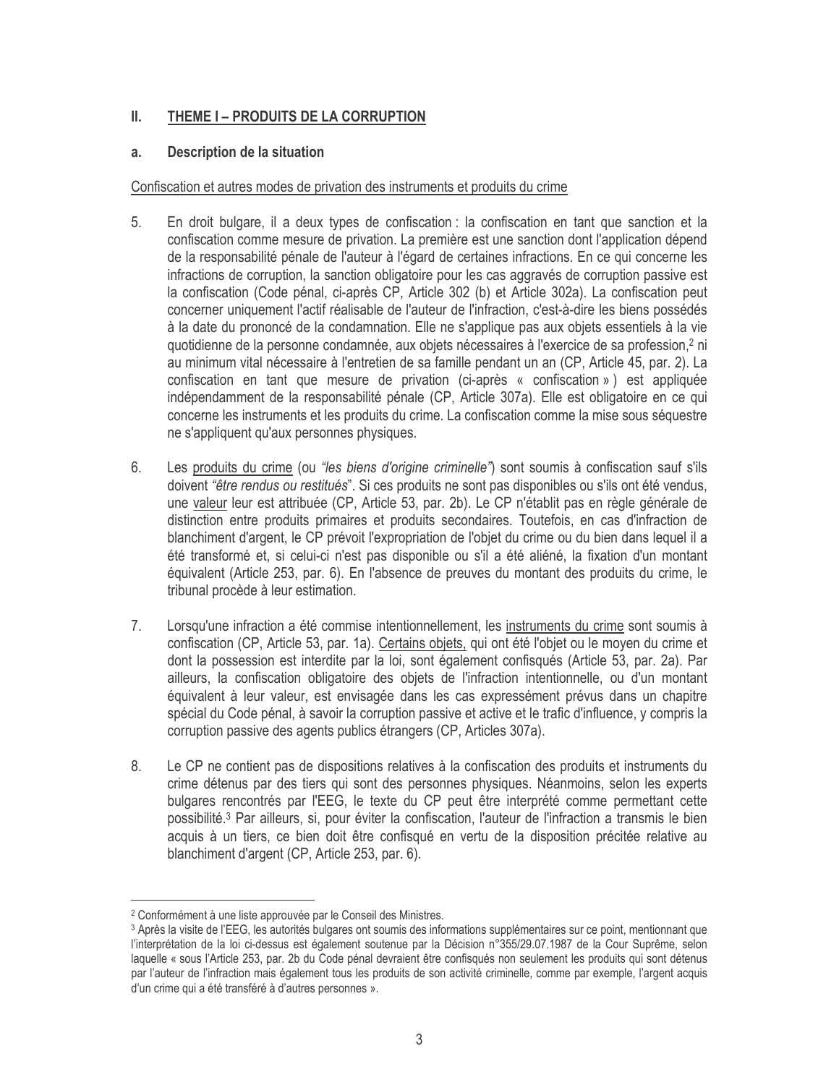#### II. THEME I - PRODUITS DE LA CORRUPTION

#### Description de la situation a.

### Confiscation et autres modes de privation des instruments et produits du crime

- En droit bulgare, il a deux types de confiscation : la confiscation en tant que sanction et la 5. confiscation comme mesure de privation. La première est une sanction dont l'application dépend de la responsabilité pénale de l'auteur à l'égard de certaines infractions. En ce qui concerne les infractions de corruption, la sanction obligatoire pour les cas aggravés de corruption passive est la confiscation (Code pénal, ci-après CP, Article 302 (b) et Article 302a). La confiscation peut concerner uniquement l'actif réalisable de l'auteur de l'infraction, c'est-à-dire les biens possédés à la date du prononcé de la condamnation. Elle ne s'applique pas aux objets essentiels à la vie quotidienne de la personne condamnée, aux objets nécessaires à l'exercice de sa profession,<sup>2</sup> ni au minimum vital nécessaire à l'entretien de sa famille pendant un an (CP, Article 45, par. 2). La confiscation en tant que mesure de privation (ci-après « confiscation ») est appliquée indépendamment de la responsabilité pénale (CP, Article 307a). Elle est obligatoire en ce qui concerne les instruments et les produits du crime. La confiscation comme la mise sous séquestre ne s'appliquent qu'aux personnes physiques.
- 6. Les produits du crime (ou "les biens d'origine criminelle") sont soumis à confiscation sauf s'ils doivent "être rendus ou restitués". Si ces produits ne sont pas disponibles ou s'ils ont été vendus, une valeur leur est attribuée (CP, Article 53, par. 2b). Le CP n'établit pas en règle générale de distinction entre produits primaires et produits secondaires. Toutefois, en cas d'infraction de blanchiment d'argent, le CP prévoit l'expropriation de l'objet du crime ou du bien dans lequel il a été transformé et, si celui-ci n'est pas disponible ou s'il a été aliéné, la fixation d'un montant équivalent (Article 253, par. 6). En l'absence de preuves du montant des produits du crime, le tribunal procède à leur estimation.
- $7<sub>1</sub>$ Lorsqu'une infraction a été commise intentionnellement, les instruments du crime sont soumis à confiscation (CP, Article 53, par. 1a). Certains objets, qui ont été l'objet ou le moyen du crime et dont la possession est interdite par la loi, sont également confisqués (Article 53, par. 2a). Par ailleurs, la confiscation obligatoire des objets de l'infraction intentionnelle, ou d'un montant équivalent à leur valeur, est envisagée dans les cas expressément prévus dans un chapitre spécial du Code pénal, à savoir la corruption passive et active et le trafic d'influence, y compris la corruption passive des agents publics étrangers (CP, Articles 307a).
- 8. Le CP ne contient pas de dispositions relatives à la confiscation des produits et instruments du crime détenus par des tiers qui sont des personnes physiques. Néanmoins, selon les experts bulgares rencontrés par l'EEG, le texte du CP peut être interprété comme permettant cette possibilité.<sup>3</sup> Par ailleurs, si, pour éviter la confiscation, l'auteur de l'infraction a transmis le bien acquis à un tiers, ce bien doit être confisqué en vertu de la disposition précitée relative au blanchiment d'argent (CP, Article 253, par. 6).

<sup>&</sup>lt;sup>2</sup> Conformément à une liste approuvée par le Conseil des Ministres.

<sup>&</sup>lt;sup>3</sup> Après la visite de l'EEG, les autorités bulgares ont soumis des informations supplémentaires sur ce point, mentionnant que l'interprétation de la loi ci-dessus est également soutenue par la Décision n°355/29.07.1987 de la Cour Suprême, selon laquelle « sous l'Article 253, par. 2b du Code pénal devraient être confisqués non seulement les produits qui sont détenus par l'auteur de l'infraction mais également tous les produits de son activité criminelle, comme par exemple, l'argent acquis d'un crime qui a été transféré à d'autres personnes ».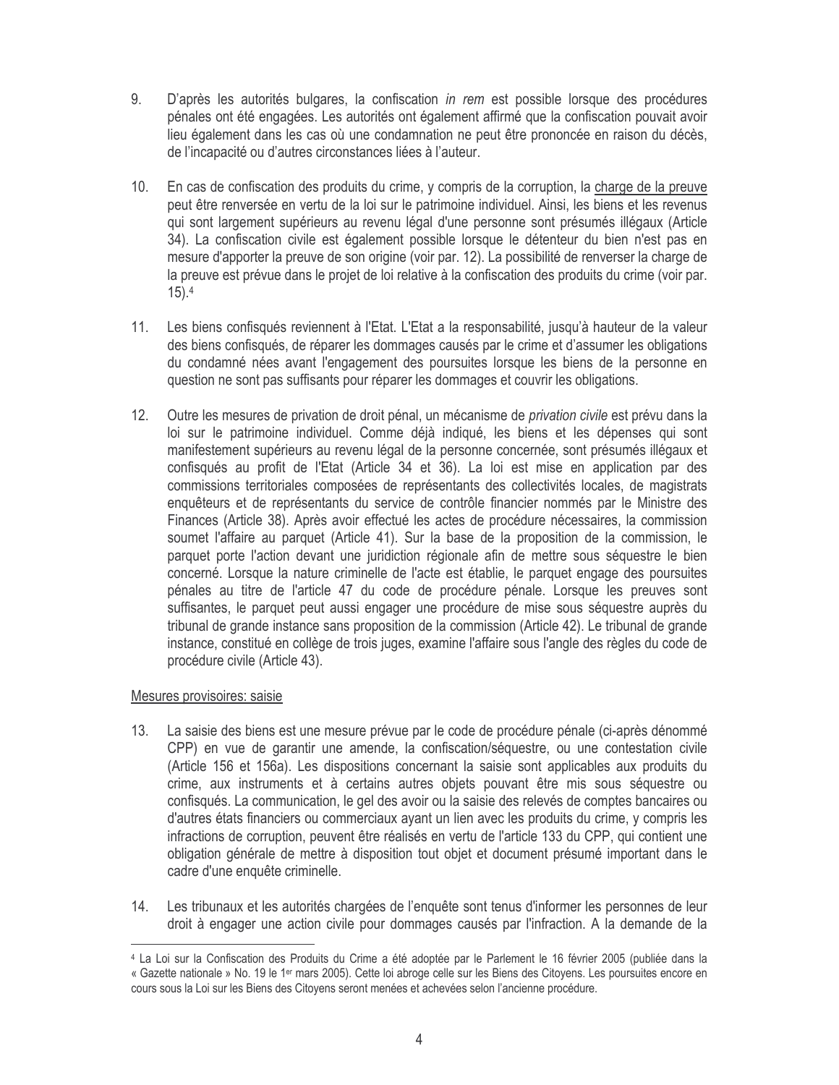- 9. D'après les autorités bulgares, la confiscation in rem est possible lorsque des procédures pénales ont été engagées. Les autorités ont également affirmé que la confiscation pouvait avoir lieu également dans les cas où une condamnation ne peut être prononcée en raison du décès, de l'incapacité ou d'autres circonstances liées à l'auteur.
- $10.$ En cas de confiscation des produits du crime, y compris de la corruption, la charge de la preuve peut être renversée en vertu de la loi sur le patrimoine individuel. Ainsi, les biens et les revenus qui sont largement supérieurs au revenu légal d'une personne sont présumés illégaux (Article 34). La confiscation civile est également possible lorsque le détenteur du bien n'est pas en mesure d'apporter la preuve de son origine (voir par. 12). La possibilité de renverser la charge de la preuve est prévue dans le projet de loi relative à la confiscation des produits du crime (voir par.  $15)$ .<sup>4</sup>
- Les biens confisqués reviennent à l'Etat. L'Etat a la responsabilité, jusqu'à hauteur de la valeur  $11.$ des biens confisqués, de réparer les dommages causés par le crime et d'assumer les obligations du condamné nées avant l'engagement des poursuites lorsque les biens de la personne en question ne sont pas suffisants pour réparer les dommages et couvrir les obligations.
- $12.$ Outre les mesures de privation de droit pénal, un mécanisme de *privation civile* est prévu dans la loi sur le patrimoine individuel. Comme déjà indiqué, les biens et les dépenses qui sont manifestement supérieurs au revenu légal de la personne concernée, sont présumés illégaux et confisqués au profit de l'Etat (Article 34 et 36). La loi est mise en application par des commissions territoriales composées de représentants des collectivités locales, de magistrats enquêteurs et de représentants du service de contrôle financier nommés par le Ministre des Finances (Article 38). Après avoir effectué les actes de procédure nécessaires, la commission soumet l'affaire au parquet (Article 41). Sur la base de la proposition de la commission, le parquet porte l'action devant une juridiction régionale afin de mettre sous séquestre le bien concerné. Lorsque la nature criminelle de l'acte est établie, le parquet engage des poursuites pénales au titre de l'article 47 du code de procédure pénale. Lorsque les preuves sont suffisantes, le parquet peut aussi engager une procédure de mise sous séquestre auprès du tribunal de grande instance sans proposition de la commission (Article 42). Le tribunal de grande instance, constitué en collège de trois juges, examine l'affaire sous l'angle des règles du code de procédure civile (Article 43).

# Mesures provisoires: saisie

- 13. La saisie des biens est une mesure prévue par le code de procédure pénale (ci-après dénommé CPP) en vue de garantir une amende, la confiscation/séquestre, ou une contestation civile (Article 156 et 156a). Les dispositions concernant la saisie sont applicables aux produits du crime, aux instruments et à certains autres objets pouvant être mis sous séquestre ou confisqués. La communication, le gel des avoir ou la saisie des relevés de comptes bancaires ou d'autres états financiers ou commerciaux ayant un lien avec les produits du crime, y compris les infractions de corruption, peuvent être réalisés en vertu de l'article 133 du CPP, qui contient une obligation générale de mettre à disposition tout objet et document présumé important dans le cadre d'une enquête criminelle.
- 14. Les tribunaux et les autorités chargées de l'enquête sont tenus d'informer les personnes de leur droit à engager une action civile pour dommages causés par l'infraction. A la demande de la

<sup>4</sup> La Loi sur la Confiscation des Produits du Crime a été adoptée par le Parlement le 16 février 2005 (publiée dans la « Gazette nationale » No. 19 le 1<sup>er</sup> mars 2005). Cette loi abroge celle sur les Biens des Citoyens. Les poursuites encore en cours sous la Loi sur les Biens des Citoyens seront menées et achevées selon l'ancienne procédure.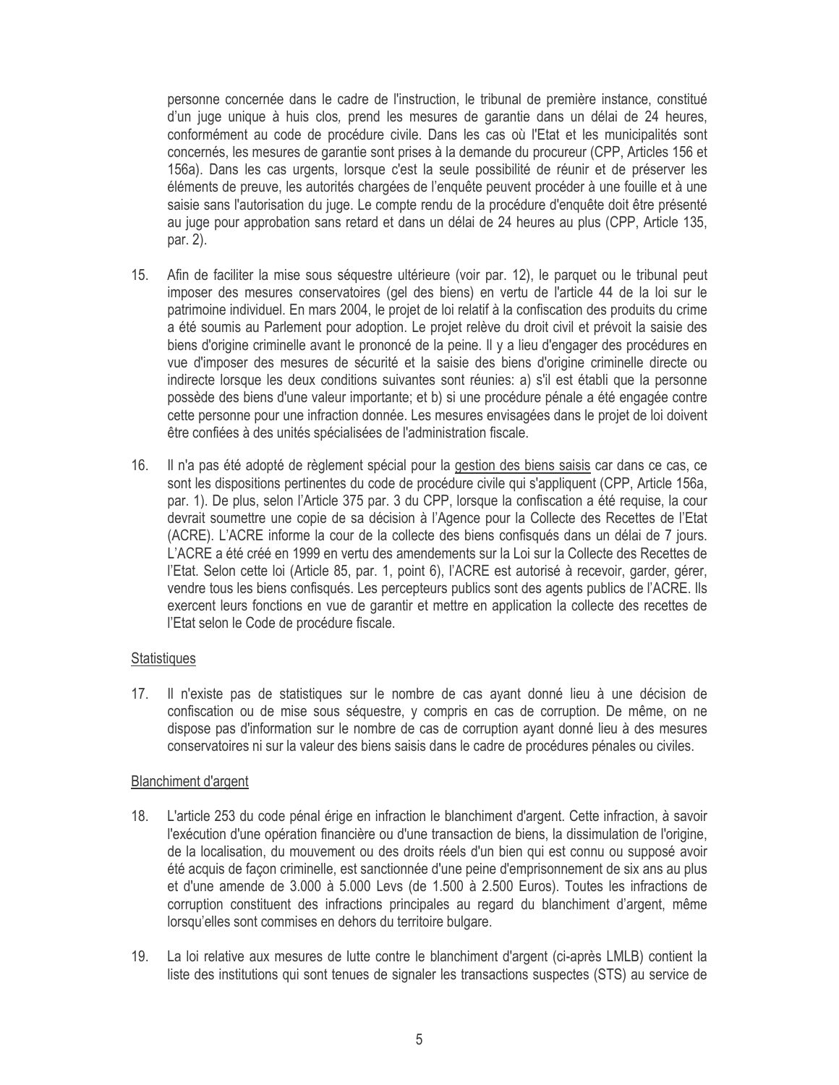personne concernée dans le cadre de l'instruction, le tribunal de première instance, constitué d'un juge unique à huis clos, prend les mesures de garantie dans un délai de 24 heures, conformément au code de procédure civile. Dans les cas où l'Etat et les municipalités sont concernés, les mesures de garantie sont prises à la demande du procureur (CPP, Articles 156 et 156a). Dans les cas urgents, lorsque c'est la seule possibilité de réunir et de préserver les éléments de preuve, les autorités chargées de l'enquête peuvent procéder à une fouille et à une saisie sans l'autorisation du juge. Le compte rendu de la procédure d'enguête doit être présenté au juge pour approbation sans retard et dans un délai de 24 heures au plus (CPP, Article 135, par. 2).

- $15.$ Afin de faciliter la mise sous séquestre ultérieure (voir par. 12), le parquet ou le tribunal peut imposer des mesures conservatoires (gel des biens) en vertu de l'article 44 de la loi sur le patrimoine individuel. En mars 2004, le projet de loi relatif à la confiscation des produits du crime a été soumis au Parlement pour adoption. Le projet relève du droit civil et prévoit la saisie des biens d'origine criminelle avant le prononcé de la peine. Il y a lieu d'engager des procédures en vue d'imposer des mesures de sécurité et la saisie des biens d'origine criminelle directe ou indirecte lorsque les deux conditions suivantes sont réunies: a) s'il est établi que la personne possède des biens d'une valeur importante; et b) si une procédure pénale a été engagée contre cette personne pour une infraction donnée. Les mesures envisagées dans le projet de loi doivent être confiées à des unités spécialisées de l'administration fiscale.
- $16.$ Il n'a pas été adopté de règlement spécial pour la gestion des biens saisis car dans ce cas, ce sont les dispositions pertinentes du code de procédure civile qui s'appliquent (CPP, Article 156a, par. 1). De plus, selon l'Article 375 par. 3 du CPP, lorsque la confiscation a été requise, la cour devrait soumettre une copie de sa décision à l'Agence pour la Collecte des Recettes de l'Etat (ACRE). L'ACRE informe la cour de la collecte des biens confisqués dans un délai de 7 jours. L'ACRE a été créé en 1999 en vertu des amendements sur la Loi sur la Collecte des Recettes de l'Etat. Selon cette loi (Article 85, par. 1, point 6), l'ACRE est autorisé à recevoir, garder, gérer, vendre tous les biens confisqués. Les percepteurs publics sont des agents publics de l'ACRE. Ils exercent leurs fonctions en vue de garantir et mettre en application la collecte des recettes de l'Etat selon le Code de procédure fiscale.

## **Statistiques**

 $17.$ Il n'existe pas de statistiques sur le nombre de cas ayant donné lieu à une décision de confiscation ou de mise sous séquestre, y compris en cas de corruption. De même, on ne dispose pas d'information sur le nombre de cas de corruption ayant donné lieu à des mesures conservatoires ni sur la valeur des biens saisis dans le cadre de procédures pénales ou civiles.

# **Blanchiment d'argent**

- 18. L'article 253 du code pénal érige en infraction le blanchiment d'argent. Cette infraction, à savoir l'exécution d'une opération financière ou d'une transaction de biens, la dissimulation de l'origine, de la localisation, du mouvement ou des droits réels d'un bien qui est connu ou supposé avoir été acquis de façon criminelle, est sanctionnée d'une peine d'emprisonnement de six ans au plus et d'une amende de 3.000 à 5.000 Levs (de 1.500 à 2.500 Euros). Toutes les infractions de corruption constituent des infractions principales au regard du blanchiment d'argent, même lorsqu'elles sont commises en dehors du territoire bulgare.
- 19. La loi relative aux mesures de lutte contre le blanchiment d'argent (ci-après LMLB) contient la liste des institutions qui sont tenues de signaler les transactions suspectes (STS) au service de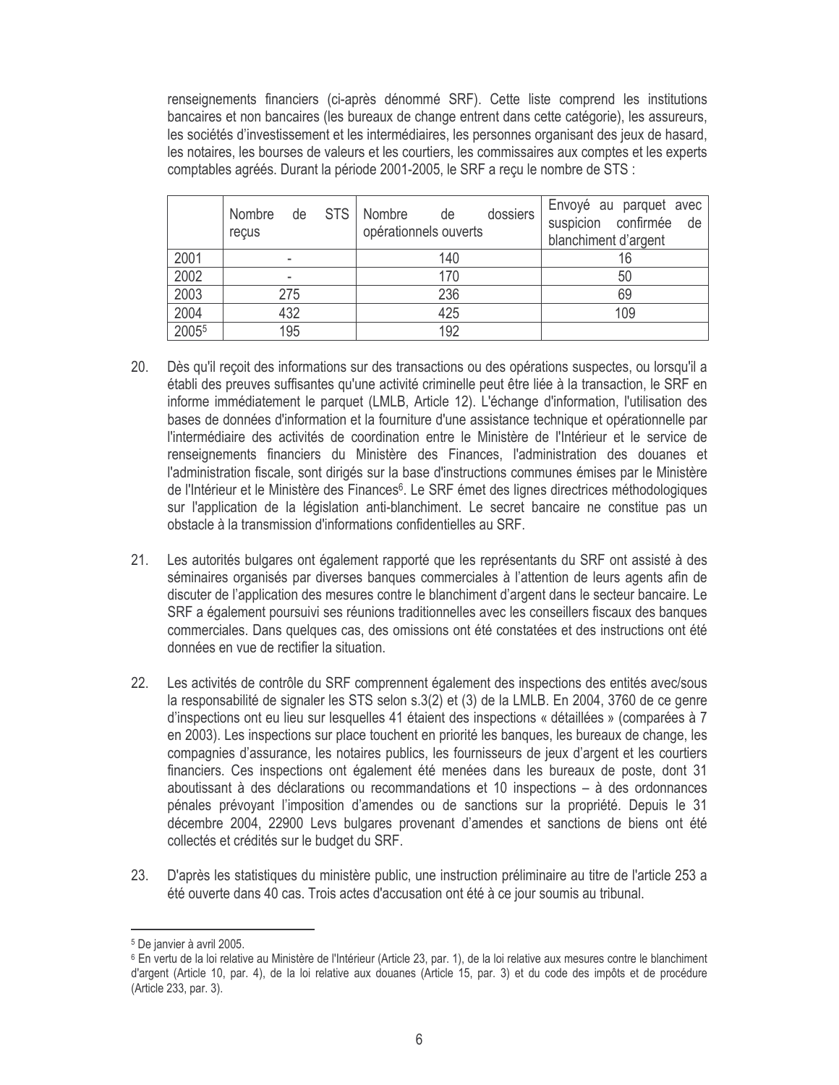renseignements financiers (ci-après dénommé SRF). Cette liste comprend les institutions bancaires et non bancaires (les bureaux de change entrent dans cette catégorie), les assureurs, les sociétés d'investissement et les intermédiaires, les personnes organisant des jeux de hasard, les notaires, les bourses de valeurs et les courtiers, les commissaires aux comptes et les experts comptables agréés. Durant la période 2001-2005, le SRF a reçu le nombre de STS :

|       | STS  <br>Nombre<br>de<br>recus | dossiers<br>Nombre<br>de<br>opérationnels ouverts | Envoyé au parquet avec<br>suspicion confirmée<br>de<br>blanchiment d'argent |
|-------|--------------------------------|---------------------------------------------------|-----------------------------------------------------------------------------|
| 2001  |                                | 140                                               |                                                                             |
| 2002  | -                              | 170                                               | 50                                                                          |
| 2003  | 275                            | 236                                               | 69                                                                          |
| 2004  | 432                            | 425                                               | 109                                                                         |
| 20055 | 195                            | 192                                               |                                                                             |

- 20. Dès qu'il reçoit des informations sur des transactions ou des opérations suspectes, ou lorsqu'il a établi des preuves suffisantes qu'une activité criminelle peut être liée à la transaction, le SRF en informe immédiatement le parquet (LMLB, Article 12). L'échange d'information, l'utilisation des bases de données d'information et la fourniture d'une assistance technique et opérationnelle par l'intermédiaire des activités de coordination entre le Ministère de l'Intérieur et le service de renseignements financiers du Ministère des Finances, l'administration des douanes et l'administration fiscale, sont dirigés sur la base d'instructions communes émises par le Ministère de l'Intérieur et le Ministère des Finances<sup>6</sup>. Le SRF émet des lignes directrices méthodologiques sur l'application de la législation anti-blanchiment. Le secret bancaire ne constitue pas un obstacle à la transmission d'informations confidentielles au SRF.
- 21. Les autorités bulgares ont également rapporté que les représentants du SRF ont assisté à des séminaires organisés par diverses banques commerciales à l'attention de leurs agents afin de discuter de l'application des mesures contre le blanchiment d'argent dans le secteur bancaire. Le SRF a également poursuivi ses réunions traditionnelles avec les conseillers fiscaux des banques commerciales. Dans quelques cas, des omissions ont été constatées et des instructions ont été données en vue de rectifier la situation.
- 22. Les activités de contrôle du SRF comprennent également des inspections des entités avec/sous la responsabilité de signaler les STS selon s.3(2) et (3) de la LMLB. En 2004, 3760 de ce genre d'inspections ont eu lieu sur lesquelles 41 étaient des inspections « détaillées » (comparées à 7 en 2003). Les inspections sur place touchent en priorité les bangues, les bureaux de change, les compagnies d'assurance, les notaires publics, les fournisseurs de jeux d'argent et les courtiers financiers. Ces inspections ont également été menées dans les bureaux de poste, dont 31 aboutissant à des déclarations ou recommandations et 10 inspections – à des ordonnances pénales prévoyant l'imposition d'amendes ou de sanctions sur la propriété. Depuis le 31 décembre 2004, 22900 Levs bulgares provenant d'amendes et sanctions de biens ont été collectés et crédités sur le budget du SRF.
- D'après les statistiques du ministère public, une instruction préliminaire au titre de l'article 253 a 23. été ouverte dans 40 cas. Trois actes d'accusation ont été à ce jour soumis au tribunal.

<sup>&</sup>lt;sup>5</sup> De janvier à avril 2005.

<sup>&</sup>lt;sup>6</sup> En vertu de la loi relative au Ministère de l'Intérieur (Article 23, par. 1), de la loi relative aux mesures contre le blanchiment d'argent (Article 10, par. 4), de la loi relative aux douanes (Article 15, par. 3) et du code des impôts et de procédure (Article 233, par. 3).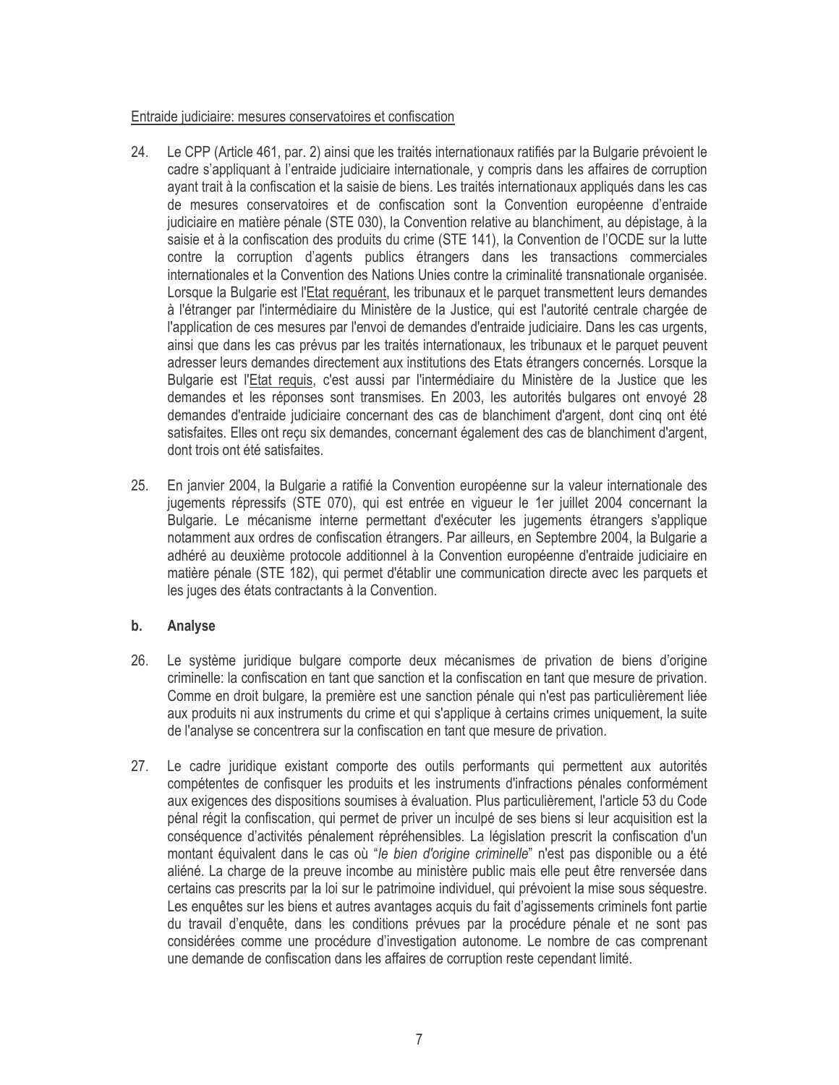# Entraide judiciaire: mesures conservatoires et confiscation

- 24. Le CPP (Article 461, par. 2) ainsi que les traités internationaux ratifiés par la Bulgarie prévoient le cadre s'appliquant à l'entraide judiciaire internationale, y compris dans les affaires de corruption ayant trait à la confiscation et la saisie de biens. Les traités internationaux appliqués dans les cas de mesures conservatoires et de confiscation sont la Convention européenne d'entraide judiciaire en matière pénale (STE 030), la Convention relative au blanchiment, au dépistage, à la saisie et à la confiscation des produits du crime (STE 141), la Convention de l'OCDE sur la lutte contre la corruption d'agents publics étrangers dans les transactions commerciales internationales et la Convention des Nations Unies contre la criminalité transnationale organisée. Lorsque la Bulgarie est l'Etat requérant, les tribunaux et le parquet transmettent leurs demandes à l'étranger par l'intermédiaire du Ministère de la Justice, qui est l'autorité centrale chargée de l'application de ces mesures par l'envoi de demandes d'entraide judiciaire. Dans les cas urgents, ainsi que dans les cas prévus par les traités internationaux, les tribunaux et le parquet peuvent adresser leurs demandes directement aux institutions des Etats étrangers concernés. Lorsque la Bulgarie est l'Etat requis, c'est aussi par l'intermédiaire du Ministère de la Justice que les demandes et les réponses sont transmises. En 2003, les autorités bulgares ont envoyé 28 demandes d'entraide judiciaire concernant des cas de blanchiment d'argent, dont cinq ont été satisfaites. Elles ont reçu six demandes, concernant également des cas de blanchiment d'argent, dont trois ont été satisfaites.
- $25$ En janvier 2004, la Bulgarie a ratifié la Convention européenne sur la valeur internationale des jugements répressifs (STE 070), qui est entrée en vigueur le 1er juillet 2004 concernant la Bulgarie. Le mécanisme interne permettant d'exécuter les jugements étrangers s'applique notamment aux ordres de confiscation étrangers. Par ailleurs, en Septembre 2004, la Bulgarie a adhéré au deuxième protocole additionnel à la Convention européenne d'entraide judiciaire en matière pénale (STE 182), qui permet d'établir une communication directe avec les parquets et les juges des états contractants à la Convention.

#### Analyse  $b.$

- Le système juridique bulgare comporte deux mécanismes de privation de biens d'origine  $26.$ criminelle: la confiscation en tant que sanction et la confiscation en tant que mesure de privation. Comme en droit bulgare, la première est une sanction pénale qui n'est pas particulièrement liée aux produits ni aux instruments du crime et qui s'applique à certains crimes uniquement, la suite de l'analyse se concentrera sur la confiscation en tant que mesure de privation.
- $27.$ Le cadre juridique existant comporte des outils performants qui permettent aux autorités compétentes de confisquer les produits et les instruments d'infractions pénales conformément aux exigences des dispositions soumises à évaluation. Plus particulièrement, l'article 53 du Code pénal régit la confiscation, qui permet de priver un inculpé de ses biens si leur acquisition est la conséquence d'activités pénalement répréhensibles. La législation prescrit la confiscation d'un montant équivalent dans le cas où "le bien d'origine criminelle" n'est pas disponible ou a été aliéné. La charge de la preuve incombe au ministère public mais elle peut être renversée dans certains cas prescrits par la loi sur le patrimoine individuel, qui prévoient la mise sous séquestre. Les enquêtes sur les biens et autres avantages acquis du fait d'agissements criminels font partie du travail d'enquête, dans les conditions prévues par la procédure pénale et ne sont pas considérées comme une procédure d'investigation autonome. Le nombre de cas comprenant une demande de confiscation dans les affaires de corruption reste cependant limité.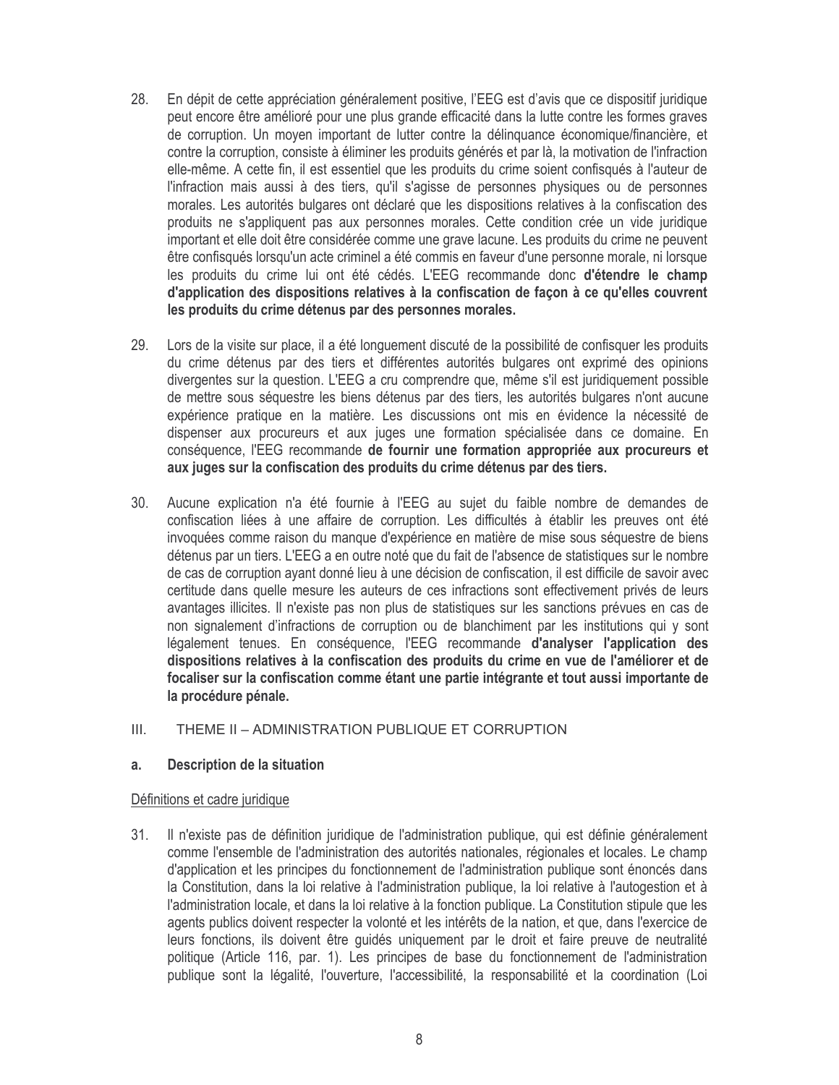- 28. En dépit de cette appréciation généralement positive, l'EEG est d'avis que ce dispositif juridique peut encore être amélioré pour une plus grande efficacité dans la lutte contre les formes graves de corruption. Un moyen important de lutter contre la délinguance économique/financière, et contre la corruption, consiste à éliminer les produits générés et par là, la motivation de l'infraction elle-même. A cette fin, il est essentiel que les produits du crime soient confisqués à l'auteur de l'infraction mais aussi à des tiers, qu'il s'agisse de personnes physiques ou de personnes morales. Les autorités bulgares ont déclaré que les dispositions relatives à la confiscation des produits ne s'appliquent pas aux personnes morales. Cette condition crée un vide juridique important et elle doit être considérée comme une grave lacune. Les produits du crime ne peuvent être confisqués lorsqu'un acte criminel a été commis en faveur d'une personne morale, ni lorsque les produits du crime lui ont été cédés. L'EEG recommande donc d'étendre le champ d'application des dispositions relatives à la confiscation de façon à ce qu'elles couvrent les produits du crime détenus par des personnes morales.
- Lors de la visite sur place, il a été longuement discuté de la possibilité de confisquer les produits 29. du crime détenus par des tiers et différentes autorités bulgares ont exprimé des opinions divergentes sur la question. L'EEG a cru comprendre que, même s'il est juridiquement possible de mettre sous séquestre les biens détenus par des tiers, les autorités bulgares n'ont aucune expérience pratique en la matière. Les discussions ont mis en évidence la nécessité de dispenser aux procureurs et aux juges une formation spécialisée dans ce domaine. En conséquence. l'EEG recommande de fournir une formation appropriée aux procureurs et aux juges sur la confiscation des produits du crime détenus par des tiers.
- $30.$ Aucune explication n'a été fournie à l'EEG au sujet du faible nombre de demandes de confiscation liées à une affaire de corruption. Les difficultés à établir les preuves ont été invoquées comme raison du manque d'expérience en matière de mise sous séquestre de biens détenus par un tiers. L'EEG a en outre noté que du fait de l'absence de statistiques sur le nombre de cas de corruption ayant donné lieu à une décision de confiscation, il est difficile de savoir avec certitude dans quelle mesure les auteurs de ces infractions sont effectivement privés de leurs avantages illicites. Il n'existe pas non plus de statistiques sur les sanctions prévues en cas de non signalement d'infractions de corruption ou de blanchiment par les institutions qui y sont légalement tenues. En conséquence, l'EEG recommande d'analyser l'application des dispositions relatives à la confiscation des produits du crime en vue de l'améliorer et de focaliser sur la confiscation comme étant une partie intégrante et tout aussi importante de la procédure pénale.

#### $III.$ THEME II - ADMINISTRATION PUBLIQUE ET CORRUPTION

#### Description de la situation a.

## Définitions et cadre juridique

 $31.$ Il n'existe pas de définition juridique de l'administration publique, qui est définie généralement comme l'ensemble de l'administration des autorités nationales, régionales et locales. Le champ d'application et les principes du fonctionnement de l'administration publique sont énoncés dans la Constitution, dans la loi relative à l'administration publique, la loi relative à l'autogestion et à l'administration locale, et dans la loi relative à la fonction publique. La Constitution stipule que les agents publics doivent respecter la volonté et les intérêts de la nation, et que, dans l'exercice de leurs fonctions, ils doivent être quidés uniquement par le droit et faire preuve de neutralité politique (Article 116, par. 1). Les principes de base du fonctionnement de l'administration publique sont la légalité, l'ouverture, l'accessibilité, la responsabilité et la coordination (Loi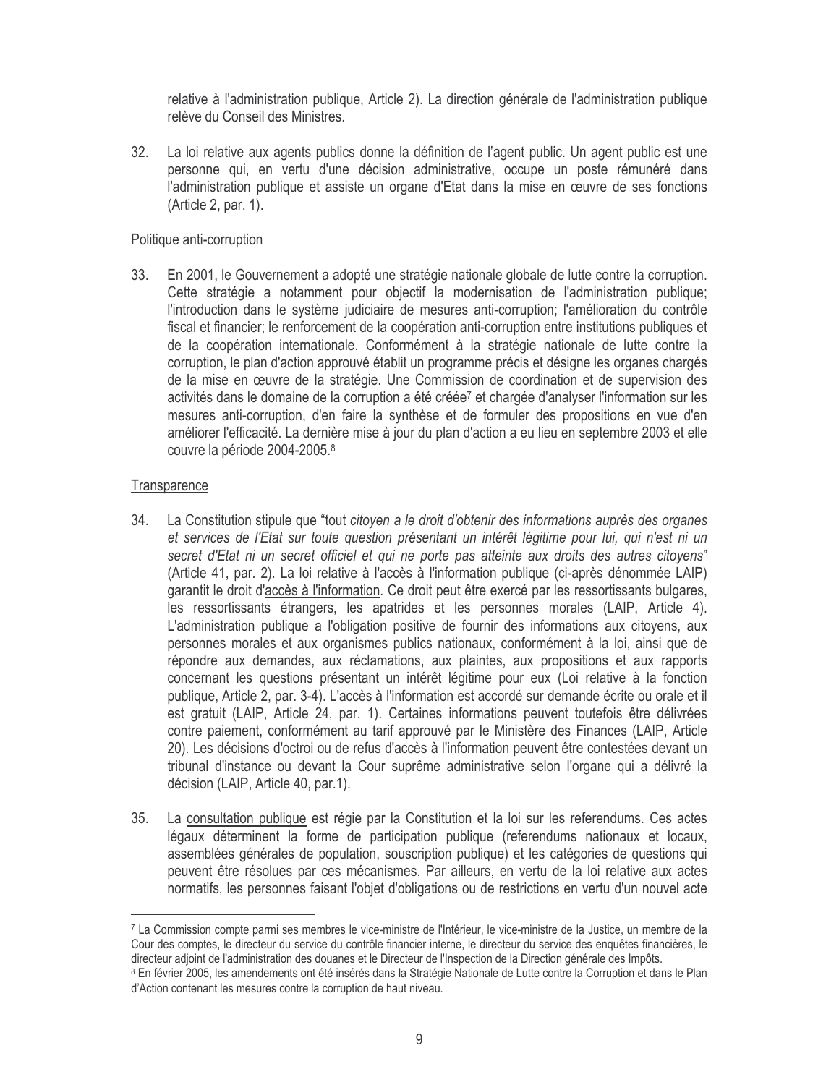relative à l'administration publique, Article 2). La direction générale de l'administration publique relève du Conseil des Ministres.

La loi relative aux agents publics donne la définition de l'agent public. Un agent public est une 32. personne qui, en vertu d'une décision administrative, occupe un poste rémunéré dans l'administration publique et assiste un organe d'Etat dans la mise en œuvre de ses fonctions (Article 2, par. 1).

# Politique anti-corruption

33. En 2001, le Gouvernement a adopté une stratégie nationale globale de lutte contre la corruption. Cette stratégie a notamment pour objectif la modernisation de l'administration publique; l'introduction dans le système judiciaire de mesures anti-corruption; l'amélioration du contrôle fiscal et financier; le renforcement de la coopération anti-corruption entre institutions publiques et de la coopération internationale. Conformément à la stratégie nationale de lutte contre la corruption, le plan d'action approuvé établit un programme précis et désigne les organes chargés de la mise en œuvre de la stratégie. Une Commission de coordination et de supervision des activités dans le domaine de la corruption a été créée<sup>7</sup> et chargée d'analyser l'information sur les mesures anti-corruption, d'en faire la synthèse et de formuler des propositions en vue d'en améliorer l'efficacité. La dernière mise à jour du plan d'action a eu lieu en septembre 2003 et elle couvre la période 2004-2005.8

## Transparence

- 34. La Constitution stipule que "tout citoyen a le droit d'obtenir des informations auprès des organes et services de l'Etat sur toute question présentant un intérêt légitime pour lui, qui n'est ni un secret d'Etat ni un secret officiel et qui ne porte pas atteinte aux droits des autres citoyens" (Article 41, par. 2). La loi relative à l'accès à l'information publique (ci-après dénommée LAIP) garantit le droit d'accès à l'information. Ce droit peut être exercé par les ressortissants bulgares, les ressortissants étrangers, les apatrides et les personnes morales (LAIP, Article 4). L'administration publique a l'obligation positive de fournir des informations aux citoyens, aux personnes morales et aux organismes publics nationaux, conformément à la loi, ainsi que de répondre aux demandes, aux réclamations, aux plaintes, aux propositions et aux rapports concernant les questions présentant un intérêt légitime pour eux (Loi relative à la fonction publique, Article 2, par. 3-4). L'accès à l'information est accordé sur demande écrite ou orale et il est gratuit (LAIP, Article 24, par. 1). Certaines informations peuvent toutefois être délivrées contre paiement, conformément au tarif approuvé par le Ministère des Finances (LAIP, Article 20). Les décisions d'octroi ou de refus d'accès à l'information peuvent être contestées devant un tribunal d'instance ou devant la Cour suprême administrative selon l'organe qui a délivré la décision (LAIP, Article 40, par.1).
- La consultation publique est régie par la Constitution et la loi sur les referendums. Ces actes  $35.$ légaux déterminent la forme de participation publique (referendums nationaux et locaux, assemblées générales de population, souscription publique) et les catégories de questions qui peuvent être résolues par ces mécanismes. Par ailleurs, en vertu de la loi relative aux actes normatifs, les personnes faisant l'objet d'obligations ou de restrictions en vertu d'un nouvel acte

<sup>7</sup> La Commission compte parmi ses membres le vice-ministre de l'Intérieur, le vice-ministre de la Justice, un membre de la Cour des comptes, le directeur du service du contrôle financier interne, le directeur du service des enquêtes financières, le directeur adjoint de l'administration des douanes et le Directeur de l'Inspection de la Direction générale des Impôts.

<sup>&</sup>lt;sup>8</sup> En février 2005, les amendements ont été insérés dans la Stratégie Nationale de Lutte contre la Corruption et dans le Plan d'Action contenant les mesures contre la corruption de haut niveau.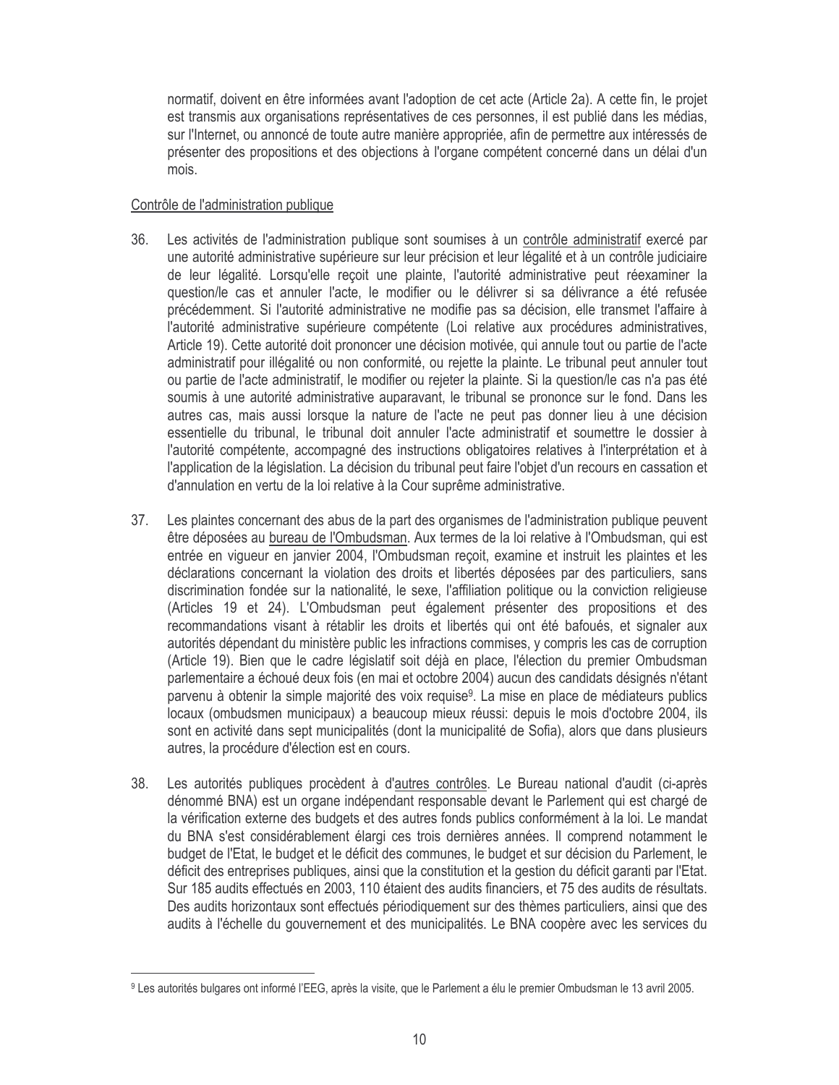normatif, doivent en être informées avant l'adoption de cet acte (Article 2a). A cette fin, le projet est transmis aux organisations représentatives de ces personnes, il est publié dans les médias, sur l'Internet, ou annoncé de toute autre manière appropriée, afin de permettre aux intéressés de présenter des propositions et des objections à l'organe compétent concerné dans un délai d'un mois.

# Contrôle de l'administration publique

- 36. Les activités de l'administration publique sont soumises à un contrôle administratif exercé par une autorité administrative supérieure sur leur précision et leur légalité et à un contrôle judiciaire de leur légalité. Lorsqu'elle recoit une plainte, l'autorité administrative peut réexaminer la question/le cas et annuler l'acte, le modifier ou le délivrer si sa délivrance a été refusée précédemment. Si l'autorité administrative ne modifie pas sa décision, elle transmet l'affaire à l'autorité administrative supérieure compétente (Loi relative aux procédures administratives, Article 19). Cette autorité doit prononcer une décision motivée, qui annule tout ou partie de l'acte administratif pour illégalité ou non conformité, ou rejette la plainte. Le tribunal peut annuler tout ou partie de l'acte administratif, le modifier ou rejeter la plainte. Si la question/le cas n'a pas été soumis à une autorité administrative auparavant, le tribunal se prononce sur le fond. Dans les autres cas, mais aussi lorsque la nature de l'acte ne peut pas donner lieu à une décision essentielle du tribunal, le tribunal doit annuler l'acte administratif et soumettre le dossier à l'autorité compétente, accompagné des instructions obligatoires relatives à l'interprétation et à l'application de la législation. La décision du tribunal peut faire l'objet d'un recours en cassation et d'annulation en vertu de la loi relative à la Cour suprême administrative.
- $37.$ Les plaintes concernant des abus de la part des organismes de l'administration publique peuvent être déposées au bureau de l'Ombudsman. Aux termes de la loi relative à l'Ombudsman, qui est entrée en vigueur en janvier 2004, l'Ombudsman reçoit, examine et instruit les plaintes et les déclarations concernant la violation des droits et libertés déposées par des particuliers, sans discrimination fondée sur la nationalité, le sexe, l'affiliation politique ou la conviction religieuse (Articles 19 et 24). L'Ombudsman peut également présenter des propositions et des recommandations visant à rétablir les droits et libertés qui ont été bafoués, et signaler aux autorités dépendant du ministère public les infractions commises, y compris les cas de corruption (Article 19). Bien que le cadre législatif soit déjà en place, l'élection du premier Ombudsman parlementaire a échoué deux fois (en mai et octobre 2004) aucun des candidats désignés n'étant parvenu à obtenir la simple majorité des voix requise<sup>9</sup>. La mise en place de médiateurs publics locaux (ombudsmen municipaux) a beaucoup mieux réussi: depuis le mois d'octobre 2004, ils sont en activité dans sept municipalités (dont la municipalité de Sofia), alors que dans plusieurs autres, la procédure d'élection est en cours.
- Les autorités publiques procèdent à d'autres contrôles. Le Bureau national d'audit (ci-après 38. dénommé BNA) est un organe indépendant responsable devant le Parlement qui est chargé de la vérification externe des budgets et des autres fonds publics conformément à la loi. Le mandat du BNA s'est considérablement élargi ces trois dernières années. Il comprend notamment le budget de l'Etat, le budget et le déficit des communes, le budget et sur décision du Parlement, le déficit des entreprises publiques, ainsi que la constitution et la gestion du déficit garanti par l'Etat. Sur 185 audits effectués en 2003, 110 étaient des audits financiers, et 75 des audits de résultats. Des audits horizontaux sont effectués périodiquement sur des thèmes particuliers, ainsi que des audits à l'échelle du gouvernement et des municipalités. Le BNA coopère avec les services du

<sup>&</sup>lt;sup>9</sup> Les autorités bulgares ont informé l'EEG, après la visite, que le Parlement a élu le premier Ombudsman le 13 avril 2005.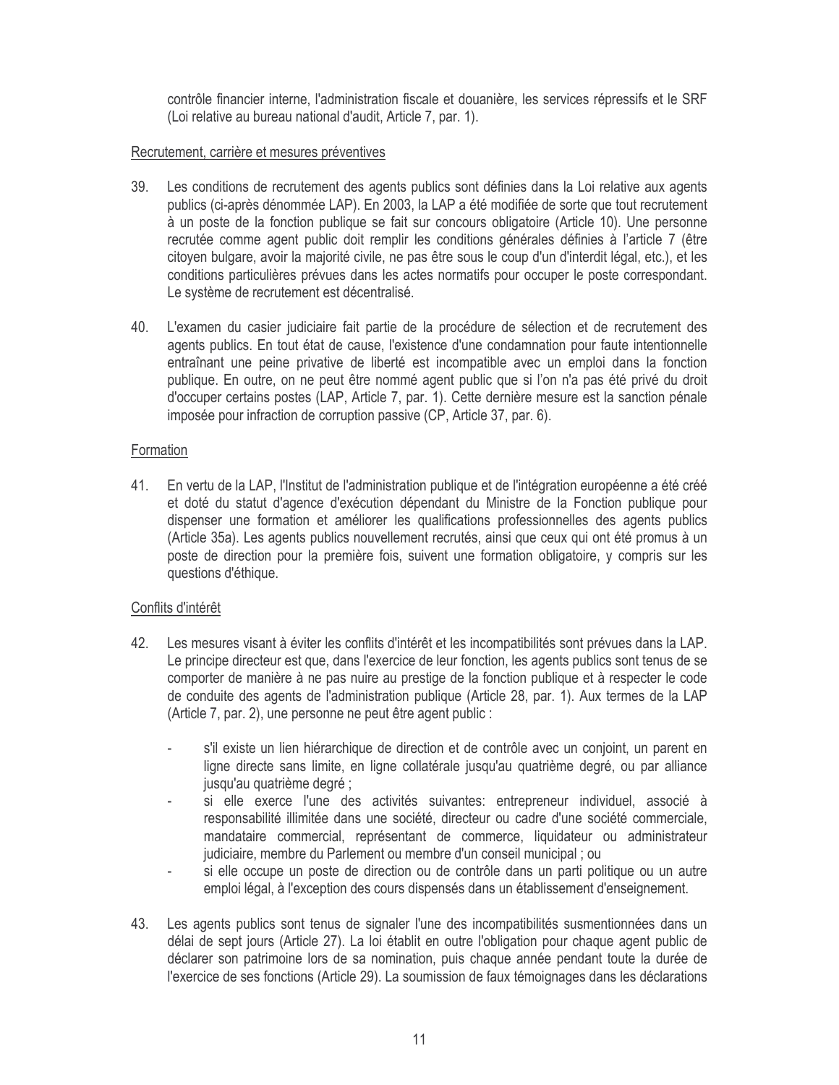contrôle financier interne, l'administration fiscale et douanière, les services répressifs et le SRF (Loi relative au bureau national d'audit, Article 7, par. 1).

# Recrutement, carrière et mesures préventives

- 39. Les conditions de recrutement des agents publics sont définies dans la Loi relative aux agents publics (ci-après dénommée LAP). En 2003, la LAP a été modifiée de sorte que tout recrutement à un poste de la fonction publique se fait sur concours obligatoire (Article 10). Une personne recrutée comme agent public doit remplir les conditions générales définies à l'article 7 (être citoyen bulgare, avoir la majorité civile, ne pas être sous le coup d'un d'interdit légal, etc.), et les conditions particulières prévues dans les actes normatifs pour occuper le poste correspondant. Le système de recrutement est décentralisé.
- 40. L'examen du casier judiciaire fait partie de la procédure de sélection et de recrutement des agents publics. En tout état de cause, l'existence d'une condamnation pour faute intentionnelle entraînant une peine privative de liberté est incompatible avec un emploi dans la fonction publique. En outre, on ne peut être nommé agent public que si l'on n'a pas été privé du droit d'occuper certains postes (LAP, Article 7, par. 1). Cette dernière mesure est la sanction pénale imposée pour infraction de corruption passive (CP, Article 37, par. 6).

## Formation

41. En vertu de la LAP, l'Institut de l'administration publique et de l'intégration européenne a été créé et doté du statut d'agence d'exécution dépendant du Ministre de la Fonction publique pour dispenser une formation et améliorer les qualifications professionnelles des agents publics (Article 35a). Les agents publics nouvellement recrutés, ainsi que ceux qui ont été promus à un poste de direction pour la première fois, suivent une formation obligatoire, y compris sur les questions d'éthique.

# Conflits d'intérêt

- 42. Les mesures visant à éviter les conflits d'intérêt et les incompatibilités sont prévues dans la LAP. Le principe directeur est que, dans l'exercice de leur fonction, les agents publics sont tenus de se comporter de manière à ne pas nuire au prestige de la fonction publique et à respecter le code de conduite des agents de l'administration publique (Article 28, par. 1). Aux termes de la LAP (Article 7, par. 2), une personne ne peut être agent public :
	- s'il existe un lien hiérarchique de direction et de contrôle avec un conjoint, un parent en ligne directe sans limite, en ligne collatérale jusqu'au quatrième degré, ou par alliance jusqu'au quatrième degré ;
	- si elle exerce l'une des activités suivantes: entrepreneur individuel, associé à responsabilité illimitée dans une société, directeur ou cadre d'une société commerciale, mandataire commercial, représentant de commerce, liquidateur ou administrateur judiciaire, membre du Parlement ou membre d'un conseil municipal ; ou
	- si elle occupe un poste de direction ou de contrôle dans un parti politique ou un autre emploi légal, à l'exception des cours dispensés dans un établissement d'enseignement.
- 43. Les agents publics sont tenus de signaler l'une des incompatibilités susmentionnées dans un délai de sept jours (Article 27). La loi établit en outre l'obligation pour chaque agent public de déclarer son patrimoine lors de sa nomination, puis chaque année pendant toute la durée de l'exercice de ses fonctions (Article 29). La soumission de faux témoignages dans les déclarations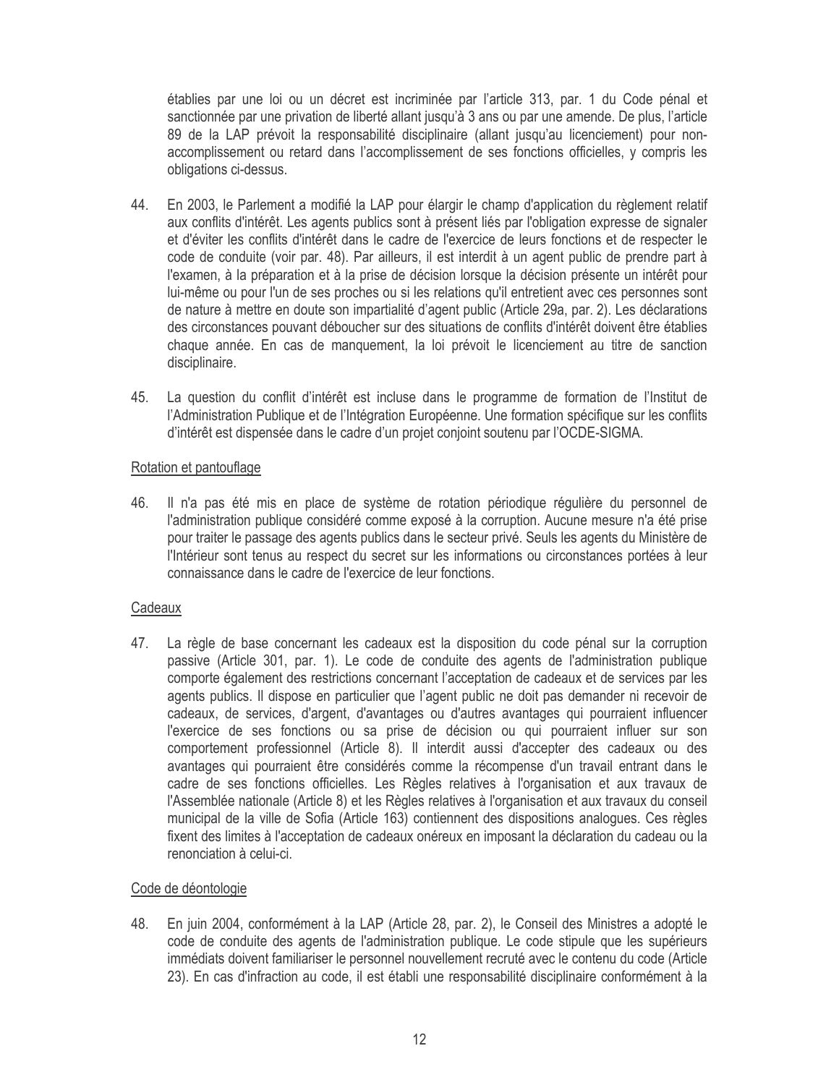établies par une loi ou un décret est incriminée par l'article 313, par. 1 du Code pénal et sanctionnée par une privation de liberté allant jusqu'à 3 ans ou par une amende. De plus, l'article 89 de la LAP prévoit la responsabilité disciplinaire (allant jusqu'au licenciement) pour nonaccomplissement ou retard dans l'accomplissement de ses fonctions officielles, y compris les obligations ci-dessus.

- 44. En 2003, le Parlement a modifié la LAP pour élargir le champ d'application du règlement relatif aux conflits d'intérêt. Les agents publics sont à présent liés par l'obligation expresse de signaler et d'éviter les conflits d'intérêt dans le cadre de l'exercice de leurs fonctions et de respecter le code de conduite (voir par. 48). Par ailleurs, il est interdit à un agent public de prendre part à l'examen, à la préparation et à la prise de décision lorsque la décision présente un intérêt pour lui-même ou pour l'un de ses proches ou si les relations qu'il entretient avec ces personnes sont de nature à mettre en doute son impartialité d'agent public (Article 29a, par. 2). Les déclarations des circonstances pouvant déboucher sur des situations de conflits d'intérêt doivent être établies chaque année. En cas de manquement, la loi prévoit le licenciement au titre de sanction disciplinaire.
- 45. La question du conflit d'intérêt est incluse dans le programme de formation de l'Institut de l'Administration Publique et de l'Intégration Européenne. Une formation spécifique sur les conflits d'intérêt est dispensée dans le cadre d'un projet conjoint soutenu par l'OCDE-SIGMA.

## Rotation et pantouflage

46. Il n'a pas été mis en place de système de rotation périodique régulière du personnel de l'administration publique considéré comme exposé à la corruption. Aucune mesure n'a été prise pour traiter le passage des agents publics dans le secteur privé. Seuls les agents du Ministère de l'Intérieur sont tenus au respect du secret sur les informations ou circonstances portées à leur connaissance dans le cadre de l'exercice de leur fonctions.

# Cadeaux

47. La règle de base concernant les cadeaux est la disposition du code pénal sur la corruption passive (Article 301, par. 1). Le code de conduite des agents de l'administration publique comporte également des restrictions concernant l'acceptation de cadeaux et de services par les agents publics. Il dispose en particulier que l'agent public ne doit pas demander ni recevoir de cadeaux, de services, d'argent, d'avantages ou d'autres avantages qui pourraient influencer l'exercice de ses fonctions ou sa prise de décision ou qui pourraient influer sur son comportement professionnel (Article 8). Il interdit aussi d'accepter des cadeaux ou des avantages qui pourraient être considérés comme la récompense d'un travail entrant dans le cadre de ses fonctions officielles. Les Règles relatives à l'organisation et aux travaux de l'Assemblée nationale (Article 8) et les Règles relatives à l'organisation et aux travaux du conseil municipal de la ville de Sofia (Article 163) contiennent des dispositions analogues. Ces règles fixent des limites à l'acceptation de cadeaux onéreux en imposant la déclaration du cadeau ou la renonciation à celui-ci.

# Code de déontologie

En juin 2004, conformément à la LAP (Article 28, par. 2), le Conseil des Ministres a adopté le 48. code de conduite des agents de l'administration publique. Le code stipule que les supérieurs immédiats doivent familiariser le personnel nouvellement recruté avec le contenu du code (Article 23). En cas d'infraction au code, il est établi une responsabilité disciplinaire conformément à la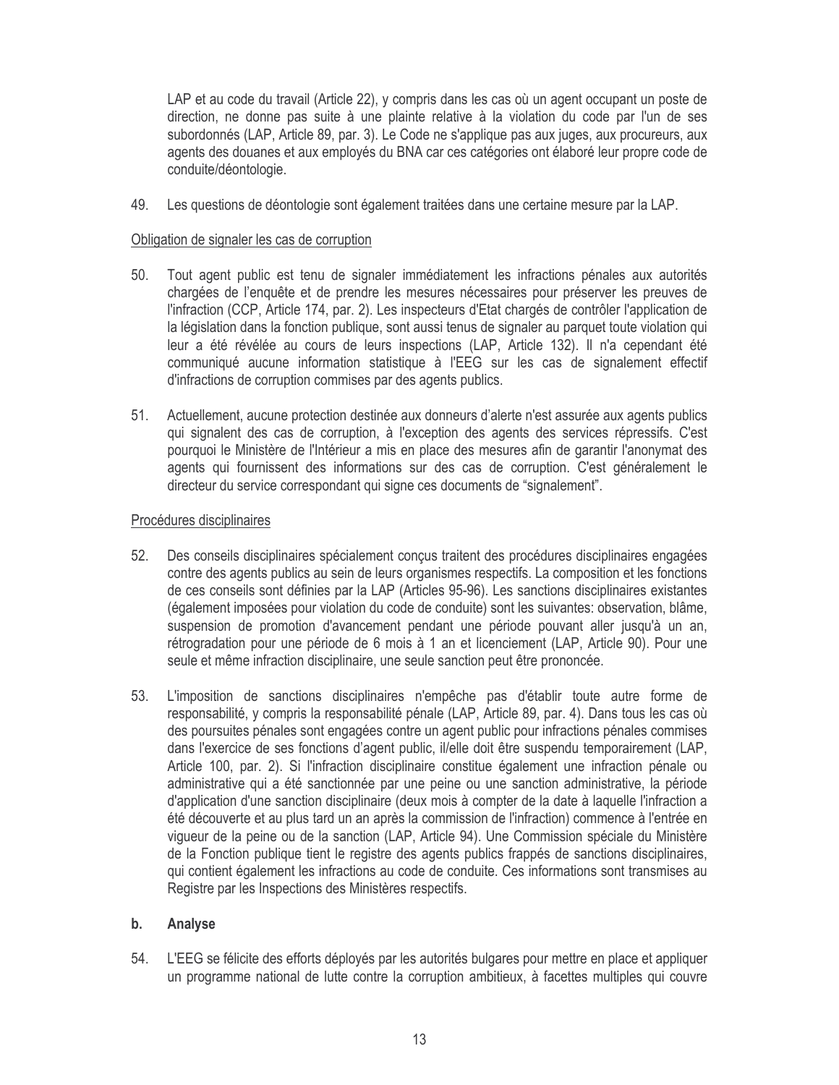LAP et au code du travail (Article 22), y compris dans les cas où un agent occupant un poste de direction, ne donne pas suite à une plainte relative à la violation du code par l'un de ses subordonnés (LAP, Article 89, par. 3). Le Code ne s'applique pas aux juges, aux procureurs, aux agents des douanes et aux employés du BNA car ces catégories ont élaboré leur propre code de conduite/déontologie.

49. Les questions de déontologie sont également traitées dans une certaine mesure par la LAP.

# Obligation de signaler les cas de corruption

- $50.$ Tout agent public est tenu de signaler immédiatement les infractions pénales aux autorités chargées de l'enquête et de prendre les mesures nécessaires pour préserver les preuves de l'infraction (CCP, Article 174, par. 2). Les inspecteurs d'Etat chargés de contrôler l'application de la législation dans la fonction publique, sont aussi tenus de signaler au parquet toute violation qui leur a été révélée au cours de leurs inspections (LAP, Article 132). Il n'a cependant été communiqué aucune information statistique à l'EEG sur les cas de signalement effectif d'infractions de corruption commises par des agents publics.
- 51. Actuellement, aucune protection destinée aux donneurs d'alerte n'est assurée aux agents publics qui signalent des cas de corruption, à l'exception des agents des services répressifs. C'est pourquoi le Ministère de l'Intérieur a mis en place des mesures afin de garantir l'anonymat des agents qui fournissent des informations sur des cas de corruption. C'est généralement le directeur du service correspondant qui signe ces documents de "signalement".

## Procédures disciplinaires

- 52. Des conseils disciplinaires spécialement conçus traitent des procédures disciplinaires engagées contre des agents publics au sein de leurs organismes respectifs. La composition et les fonctions de ces conseils sont définies par la LAP (Articles 95-96). Les sanctions disciplinaires existantes (également imposées pour violation du code de conduite) sont les suivantes: observation, blâme, suspension de promotion d'avancement pendant une période pouvant aller jusqu'à un an, rétrogradation pour une période de 6 mois à 1 an et licenciement (LAP, Article 90). Pour une seule et même infraction disciplinaire, une seule sanction peut être prononcée.
- 53. L'imposition de sanctions disciplinaires n'empêche pas d'établir toute autre forme de responsabilité, y compris la responsabilité pénale (LAP, Article 89, par. 4). Dans tous les cas où des poursuites pénales sont engagées contre un agent public pour infractions pénales commises dans l'exercice de ses fonctions d'agent public, il/elle doit être suspendu temporairement (LAP, Article 100, par. 2). Si l'infraction disciplinaire constitue également une infraction pénale ou administrative qui a été sanctionnée par une peine ou une sanction administrative, la période d'application d'une sanction disciplinaire (deux mois à compter de la date à laquelle l'infraction a été découverte et au plus tard un an après la commission de l'infraction) commence à l'entrée en vigueur de la peine ou de la sanction (LAP, Article 94). Une Commission spéciale du Ministère de la Fonction publique tient le registre des agents publics frappés de sanctions disciplinaires, qui contient également les infractions au code de conduite. Ces informations sont transmises au Registre par les Inspections des Ministères respectifs.

#### **Analyse**  $b.$

L'EEG se félicite des efforts déployés par les autorités bulgares pour mettre en place et appliquer 54. un programme national de lutte contre la corruption ambitieux, à facettes multiples qui couvre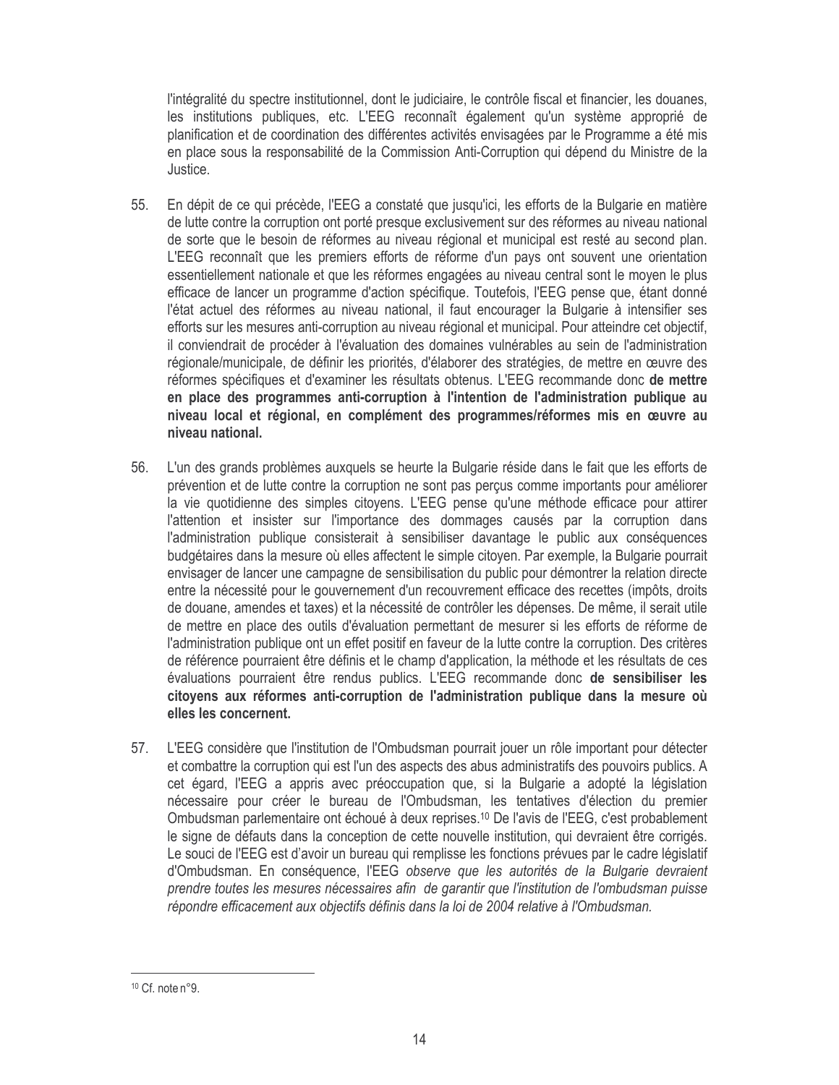l'intégralité du spectre institutionnel, dont le judiciaire, le contrôle fiscal et financier, les douanes, les institutions publiques, etc. L'EEG reconnaît également qu'un système approprié de planification et de coordination des différentes activités envisagées par le Programme a été mis en place sous la responsabilité de la Commission Anti-Corruption qui dépend du Ministre de la Justice.

- En dépit de ce qui précède, l'EEG a constaté que jusqu'ici, les efforts de la Bulgarie en matière 55. de lutte contre la corruption ont porté presque exclusivement sur des réformes au niveau national de sorte que le besoin de réformes au niveau régional et municipal est resté au second plan. L'EEG reconnaît que les premiers efforts de réforme d'un pays ont souvent une orientation essentiellement nationale et que les réformes engagées au niveau central sont le moyen le plus efficace de lancer un programme d'action spécifique. Toutefois, l'EEG pense que, étant donné l'état actuel des réformes au niveau national, il faut encourager la Bulgarie à intensifier ses efforts sur les mesures anti-corruption au niveau régional et municipal. Pour atteindre cet objectif, il conviendrait de procéder à l'évaluation des domaines vulnérables au sein de l'administration régionale/municipale, de définir les priorités, d'élaborer des stratégies, de mettre en œuvre des réformes spécifiques et d'examiner les résultats obtenus. L'EEG recommande donc de mettre en place des programmes anti-corruption à l'intention de l'administration publique au niveau local et régional, en complément des programmes/réformes mis en œuvre au niveau national.
- 56. L'un des grands problèmes auxquels se heurte la Bulgarie réside dans le fait que les efforts de prévention et de lutte contre la corruption ne sont pas percus comme importants pour améliorer la vie quotidienne des simples citoyens. L'EEG pense qu'une méthode efficace pour attirer l'attention et insister sur l'importance des dommages causés par la corruption dans l'administration publique consisterait à sensibiliser davantage le public aux conséquences budgétaires dans la mesure où elles affectent le simple citoyen. Par exemple, la Bulgarie pourrait envisager de lancer une campagne de sensibilisation du public pour démontrer la relation directe entre la nécessité pour le gouvernement d'un recouvrement efficace des recettes (impôts, droits de douane, amendes et taxes) et la nécessité de contrôler les dépenses. De même, il serait utile de mettre en place des outils d'évaluation permettant de mesurer si les efforts de réforme de l'administration publique ont un effet positif en faveur de la lutte contre la corruption. Des critères de référence pourraient être définis et le champ d'application, la méthode et les résultats de ces évaluations pourraient être rendus publics. L'EEG recommande donc de sensibiliser les citoyens aux réformes anti-corruption de l'administration publique dans la mesure où elles les concernent.
- L'EEG considère que l'institution de l'Ombudsman pourrait jouer un rôle important pour détecter 57. et combattre la corruption qui est l'un des aspects des abus administratifs des pouvoirs publics. A cet égard, l'EEG a appris avec préoccupation que, si la Bulgarie a adopté la législation nécessaire pour créer le bureau de l'Ombudsman, les tentatives d'élection du premier Ombudsman parlementaire ont échoué à deux reprises.<sup>10</sup> De l'avis de l'EEG, c'est probablement le signe de défauts dans la conception de cette nouvelle institution, qui devraient être corrigés. Le souci de l'EEG est d'avoir un bureau qui remplisse les fonctions prévues par le cadre législatif d'Ombudsman. En conséquence, l'EEG observe que les autorités de la Bulgarie devraient prendre toutes les mesures nécessaires afin de garantir que l'institution de l'ombudsman puisse répondre efficacement aux objectifs définis dans la loi de 2004 relative à l'Ombudsman.

<sup>&</sup>lt;sup>10</sup> Cf. note n°9.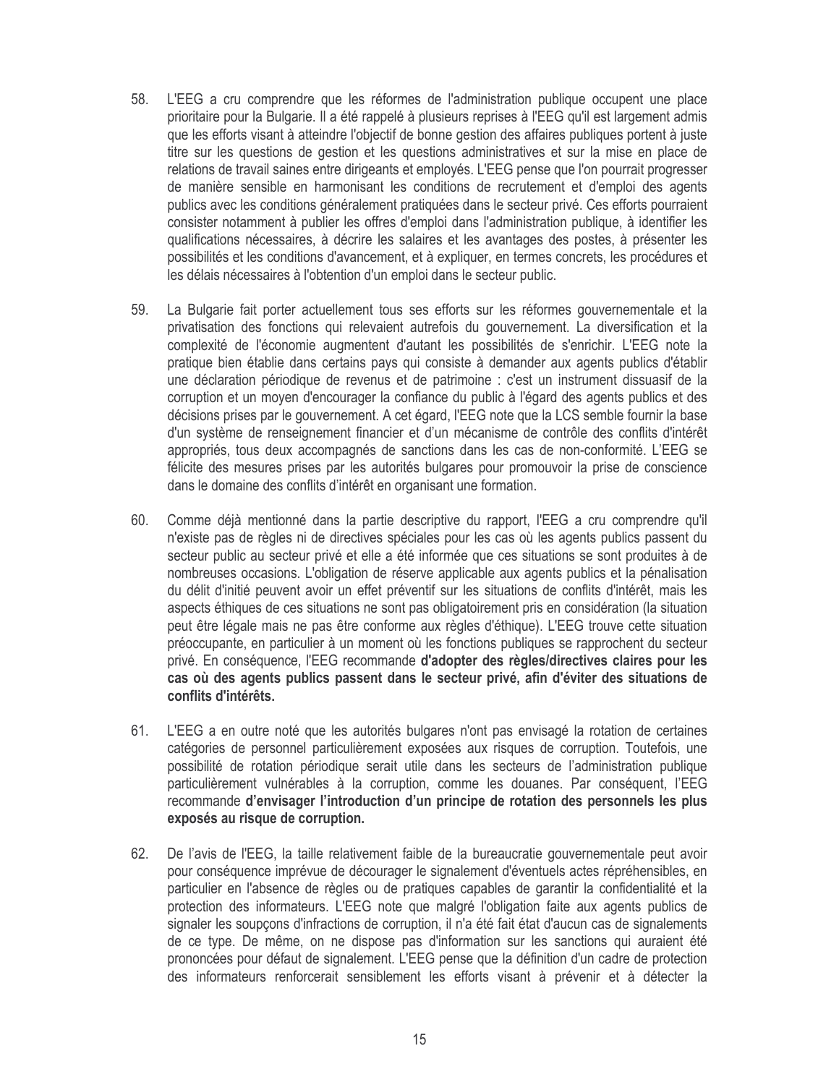- 58. L'EEG a cru comprendre que les réformes de l'administration publique occupent une place prioritaire pour la Bulgarie. Il a été rappelé à plusieurs reprises à l'EEG qu'il est largement admis que les efforts visant à atteindre l'objectif de bonne gestion des affaires publiques portent à juste titre sur les questions de gestion et les questions administratives et sur la mise en place de relations de travail saines entre dirigeants et employés. L'EEG pense que l'on pourrait progresser de manière sensible en harmonisant les conditions de recrutement et d'emploi des agents publics avec les conditions généralement pratiquées dans le secteur privé. Ces efforts pourraient consister notamment à publier les offres d'emploi dans l'administration publique, à identifier les qualifications nécessaires, à décrire les salaires et les avantages des postes, à présenter les possibilités et les conditions d'avancement, et à expliquer, en termes concrets, les procédures et les délais nécessaires à l'obtention d'un emploi dans le secteur public.
- 59. La Bulgarie fait porter actuellement tous ses efforts sur les réformes gouvernementale et la privatisation des fonctions qui relevaient autrefois du gouvernement. La diversification et la complexité de l'économie augmentent d'autant les possibilités de s'enrichir. L'EEG note la pratique bien établie dans certains pays qui consiste à demander aux agents publics d'établir une déclaration périodique de revenus et de patrimoine : c'est un instrument dissuasif de la corruption et un moyen d'encourager la confiance du public à l'égard des agents publics et des décisions prises par le gouvernement. A cet égard, l'EEG note que la LCS semble fournir la base d'un système de renseignement financier et d'un mécanisme de contrôle des conflits d'intérêt appropriés, tous deux accompagnés de sanctions dans les cas de non-conformité. L'EEG se félicite des mesures prises par les autorités bulgares pour promouvoir la prise de conscience dans le domaine des conflits d'intérêt en organisant une formation.
- 60. Comme déjà mentionné dans la partie descriptive du rapport, l'EEG a cru comprendre qu'il n'existe pas de règles ni de directives spéciales pour les cas où les agents publics passent du secteur public au secteur privé et elle a été informée que ces situations se sont produites à de nombreuses occasions. L'obligation de réserve applicable aux agents publics et la pénalisation du délit d'initié peuvent avoir un effet préventif sur les situations de conflits d'intérêt, mais les aspects éthiques de ces situations ne sont pas obligatoirement pris en considération (la situation peut être légale mais ne pas être conforme aux règles d'éthique). L'EEG trouve cette situation préoccupante, en particulier à un moment où les fonctions publiques se rapprochent du secteur privé. En conséquence, l'EEG recommande d'adopter des règles/directives claires pour les cas où des agents publics passent dans le secteur privé, afin d'éviter des situations de conflits d'intérêts.
- 61. L'EEG a en outre noté que les autorités bulgares n'ont pas envisagé la rotation de certaines catégories de personnel particulièrement exposées aux risques de corruption. Toutefois, une possibilité de rotation périodique serait utile dans les secteurs de l'administration publique particulièrement vulnérables à la corruption, comme les douanes. Par conséquent, l'EEG recommande d'envisager l'introduction d'un principe de rotation des personnels les plus exposés au risque de corruption.
- 62. De l'avis de l'EEG, la taille relativement faible de la bureaucratie gouvernementale peut avoir pour conséquence imprévue de décourager le signalement d'éventuels actes répréhensibles, en particulier en l'absence de règles ou de pratiques capables de garantir la confidentialité et la protection des informateurs. L'EEG note que malgré l'obligation faite aux agents publics de signaler les soupcons d'infractions de corruption, il n'a été fait état d'aucun cas de signalements de ce type. De même, on ne dispose pas d'information sur les sanctions qui auraient été prononcées pour défaut de signalement. L'EEG pense que la définition d'un cadre de protection des informateurs renforcerait sensiblement les efforts visant à prévenir et à détecter la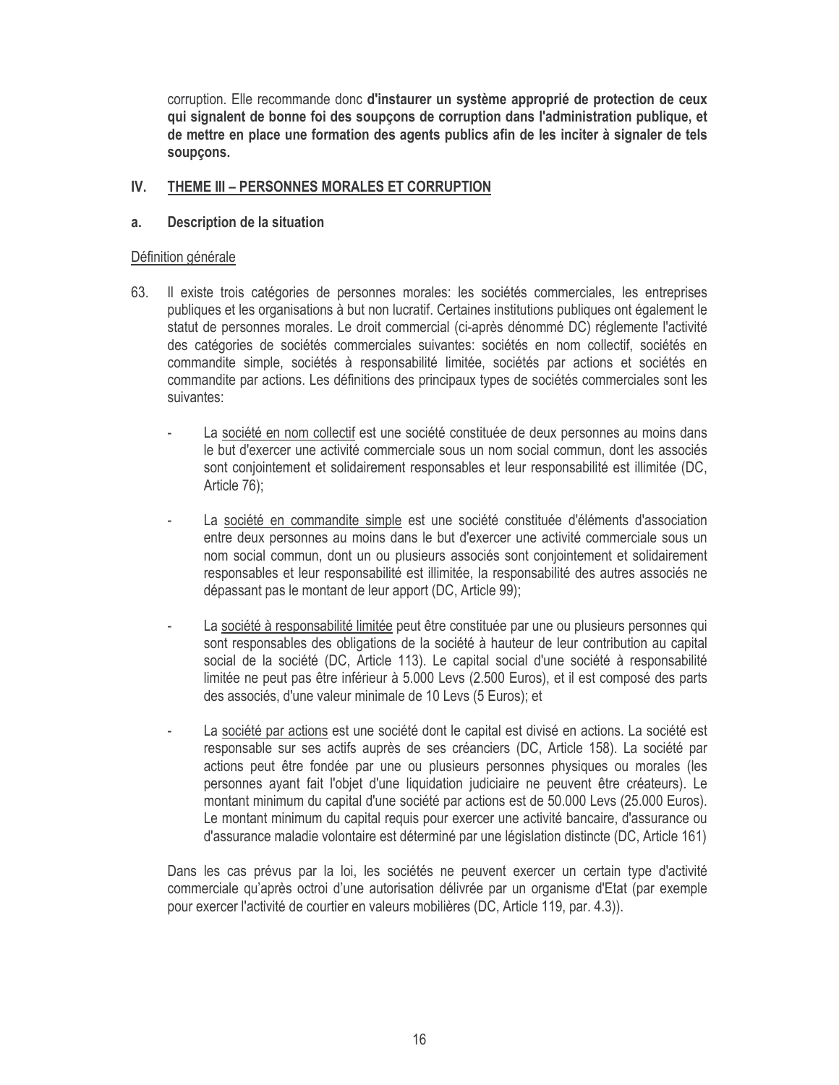corruption. Elle recommande donc d'instaurer un système approprié de protection de ceux qui signalent de bonne foi des soupçons de corruption dans l'administration publique, et de mettre en place une formation des agents publics afin de les inciter à signaler de tels soupçons.

#### IV. THEME III - PERSONNES MORALES ET CORRUPTION

#### Description de la situation  $a<sub>z</sub>$

## Définition générale

- 63. Il existe trois catégories de personnes morales: les sociétés commerciales, les entreprises publiques et les organisations à but non lucratif. Certaines institutions publiques ont également le statut de personnes morales. Le droit commercial (ci-après dénommé DC) réglemente l'activité des catégories de sociétés commerciales suivantes: sociétés en nom collectif, sociétés en commandite simple, sociétés à responsabilité limitée, sociétés par actions et sociétés en commandite par actions. Les définitions des principaux types de sociétés commerciales sont les suivantes:
	- La société en nom collectif est une société constituée de deux personnes au moins dans le but d'exercer une activité commerciale sous un nom social commun, dont les associés sont conjointement et solidairement responsables et leur responsabilité est illimitée (DC, Article 76):
	- La société en commandite simple est une société constituée d'éléments d'association entre deux personnes au moins dans le but d'exercer une activité commerciale sous un nom social commun, dont un ou plusieurs associés sont conjointement et solidairement responsables et leur responsabilité est illimitée, la responsabilité des autres associés ne dépassant pas le montant de leur apport (DC, Article 99);
	- La société à responsabilité limitée peut être constituée par une ou plusieurs personnes qui sont responsables des obligations de la société à hauteur de leur contribution au capital social de la société (DC, Article 113). Le capital social d'une société à responsabilité limitée ne peut pas être inférieur à 5.000 Levs (2.500 Euros), et il est composé des parts des associés, d'une valeur minimale de 10 Levs (5 Euros); et
	- La société par actions est une société dont le capital est divisé en actions. La société est responsable sur ses actifs auprès de ses créanciers (DC, Article 158). La société par actions peut être fondée par une ou plusieurs personnes physiques ou morales (les personnes ayant fait l'objet d'une liquidation judiciaire ne peuvent être créateurs). Le montant minimum du capital d'une société par actions est de 50.000 Levs (25.000 Euros). Le montant minimum du capital requis pour exercer une activité bancaire, d'assurance ou d'assurance maladie volontaire est déterminé par une législation distincte (DC, Article 161)

Dans les cas prévus par la loi, les sociétés ne peuvent exercer un certain type d'activité commerciale qu'après octroi d'une autorisation délivrée par un organisme d'Etat (par exemple pour exercer l'activité de courtier en valeurs mobilières (DC, Article 119, par. 4.3)).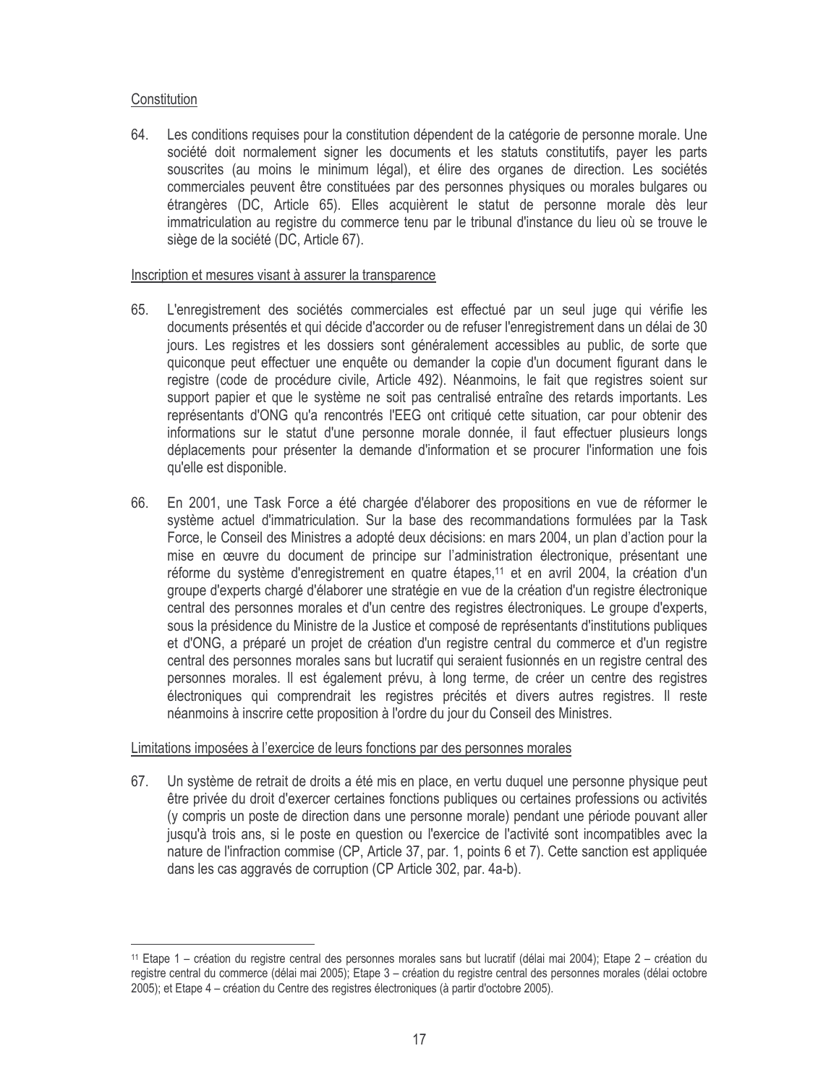# Constitution

64. Les conditions requises pour la constitution dépendent de la catégorie de personne morale. Une société doit normalement signer les documents et les statuts constitutifs, payer les parts souscrites (au moins le minimum légal), et élire des organes de direction. Les sociétés commerciales peuvent être constituées par des personnes physiques ou morales bulgares ou étrangères (DC, Article 65). Elles acquièrent le statut de personne morale dès leur immatriculation au registre du commerce tenu par le tribunal d'instance du lieu où se trouve le siège de la société (DC, Article 67).

# Inscription et mesures visant à assurer la transparence

- L'enregistrement des sociétés commerciales est effectué par un seul juge qui vérifie les 65. documents présentés et qui décide d'accorder ou de refuser l'enregistrement dans un délai de 30 jours. Les registres et les dossiers sont généralement accessibles au public, de sorte que quiconque peut effectuer une enquête ou demander la copie d'un document figurant dans le registre (code de procédure civile, Article 492). Néanmoins, le fait que registres soient sur support papier et que le système ne soit pas centralisé entraîne des retards importants. Les représentants d'ONG qu'a rencontrés l'EEG ont critiqué cette situation, car pour obtenir des informations sur le statut d'une personne morale donnée, il faut effectuer plusieurs longs déplacements pour présenter la demande d'information et se procurer l'information une fois qu'elle est disponible.
- En 2001, une Task Force a été chargée d'élaborer des propositions en vue de réformer le 66. système actuel d'immatriculation. Sur la base des recommandations formulées par la Task Force, le Conseil des Ministres a adopté deux décisions: en mars 2004, un plan d'action pour la mise en œuvre du document de principe sur l'administration électronique, présentant une réforme du système d'enregistrement en quatre étapes,<sup>11</sup> et en avril 2004, la création d'un groupe d'experts chargé d'élaborer une stratégie en vue de la création d'un registre électronique central des personnes morales et d'un centre des registres électroniques. Le groupe d'experts, sous la présidence du Ministre de la Justice et composé de représentants d'institutions publiques et d'ONG, a préparé un projet de création d'un registre central du commerce et d'un registre central des personnes morales sans but lucratif qui seraient fusionnés en un registre central des personnes morales. Il est également prévu, à long terme, de créer un centre des registres électroniques qui comprendrait les registres précités et divers autres registres. Il reste néanmoins à inscrire cette proposition à l'ordre du jour du Conseil des Ministres.

# Limitations imposées à l'exercice de leurs fonctions par des personnes morales

67. Un système de retrait de droits a été mis en place, en vertu duquel une personne physique peut être privée du droit d'exercer certaines fonctions publiques ou certaines professions ou activités (y compris un poste de direction dans une personne morale) pendant une période pouvant aller jusqu'à trois ans, si le poste en question ou l'exercice de l'activité sont incompatibles avec la nature de l'infraction commise (CP, Article 37, par. 1, points 6 et 7). Cette sanction est appliquée dans les cas aggravés de corruption (CP Article 302, par. 4a-b).

<sup>11</sup> Etape 1 - création du registre central des personnes morales sans but lucratif (délai mai 2004); Etape 2 - création du registre central du commerce (délai mai 2005); Etape 3 – création du registre central des personnes morales (délai octobre 2005); et Etape 4 – création du Centre des registres électroniques (à partir d'octobre 2005).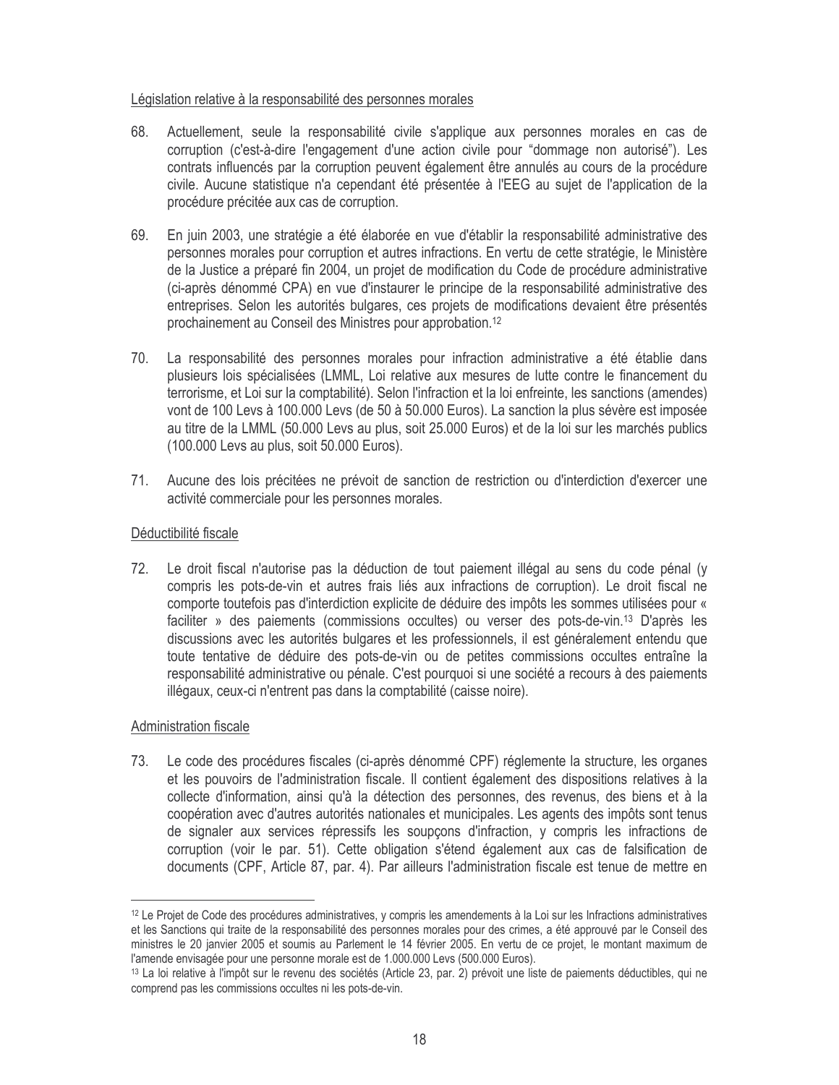## Législation relative à la responsabilité des personnes morales

- 68. Actuellement, seule la responsabilité civile s'applique aux personnes morales en cas de corruption (c'est-à-dire l'engagement d'une action civile pour "dommage non autorisé"). Les contrats influencés par la corruption peuvent également être annulés au cours de la procédure civile. Aucune statistique n'a cependant été présentée à l'EEG au sujet de l'application de la procédure précitée aux cas de corruption.
- 69. En juin 2003, une stratégie a été élaborée en vue d'établir la responsabilité administrative des personnes morales pour corruption et autres infractions. En vertu de cette stratégie, le Ministère de la Justice a préparé fin 2004, un projet de modification du Code de procédure administrative (ci-après dénommé CPA) en vue d'instaurer le principe de la responsabilité administrative des entreprises. Selon les autorités bulgares, ces projets de modifications devaient être présentés prochainement au Conseil des Ministres pour approbation.<sup>12</sup>
- 70. La responsabilité des personnes morales pour infraction administrative a été établie dans plusieurs lois spécialisées (LMML, Loi relative aux mesures de lutte contre le financement du terrorisme, et Loi sur la comptabilité). Selon l'infraction et la loi enfreinte, les sanctions (amendes) vont de 100 Levs à 100.000 Levs (de 50 à 50.000 Euros). La sanction la plus sévère est imposée au titre de la LMML (50.000 Levs au plus, soit 25.000 Euros) et de la loi sur les marchés publics (100.000 Levs au plus, soit 50.000 Euros).
- 71. Aucune des lois précitées ne prévoit de sanction de restriction ou d'interdiction d'exercer une activité commerciale pour les personnes morales.

# Déductibilité fiscale

72. Le droit fiscal n'autorise pas la déduction de tout paiement illégal au sens du code pénal (y compris les pots-de-vin et autres frais liés aux infractions de corruption). Le droit fiscal ne comporte toutefois pas d'interdiction explicite de déduire des impôts les sommes utilisées pour « faciliter » des paiements (commissions occultes) ou verser des pots-de-vin.<sup>13</sup> D'après les discussions avec les autorités bulgares et les professionnels, il est généralement entendu que toute tentative de déduire des pots-de-vin ou de petites commissions occultes entraîne la responsabilité administrative ou pénale. C'est pourquoi si une société a recours à des paiements illégaux, ceux-ci n'entrent pas dans la comptabilité (caisse noire).

## Administration fiscale

73. Le code des procédures fiscales (ci-après dénommé CPF) réglemente la structure, les organes et les pouvoirs de l'administration fiscale. Il contient également des dispositions relatives à la collecte d'information, ainsi qu'à la détection des personnes, des revenus, des biens et à la coopération avec d'autres autorités nationales et municipales. Les agents des impôts sont tenus de signaler aux services répressifs les soupcons d'infraction, y compris les infractions de corruption (voir le par. 51). Cette obligation s'étend également aux cas de falsification de documents (CPF, Article 87, par. 4). Par ailleurs l'administration fiscale est tenue de mettre en

<sup>&</sup>lt;sup>12</sup> Le Projet de Code des procédures administratives, y compris les amendements à la Loi sur les Infractions administratives et les Sanctions qui traite de la responsabilité des personnes morales pour des crimes, a été approuvé par le Conseil des ministres le 20 janvier 2005 et soumis au Parlement le 14 février 2005. En vertu de ce projet, le montant maximum de l'amende envisagée pour une personne morale est de 1.000.000 Levs (500.000 Euros).

<sup>13</sup> La loi relative à l'impôt sur le revenu des sociétés (Article 23, par. 2) prévoit une liste de paiements déductibles, qui ne comprend pas les commissions occultes ni les pots-de-vin.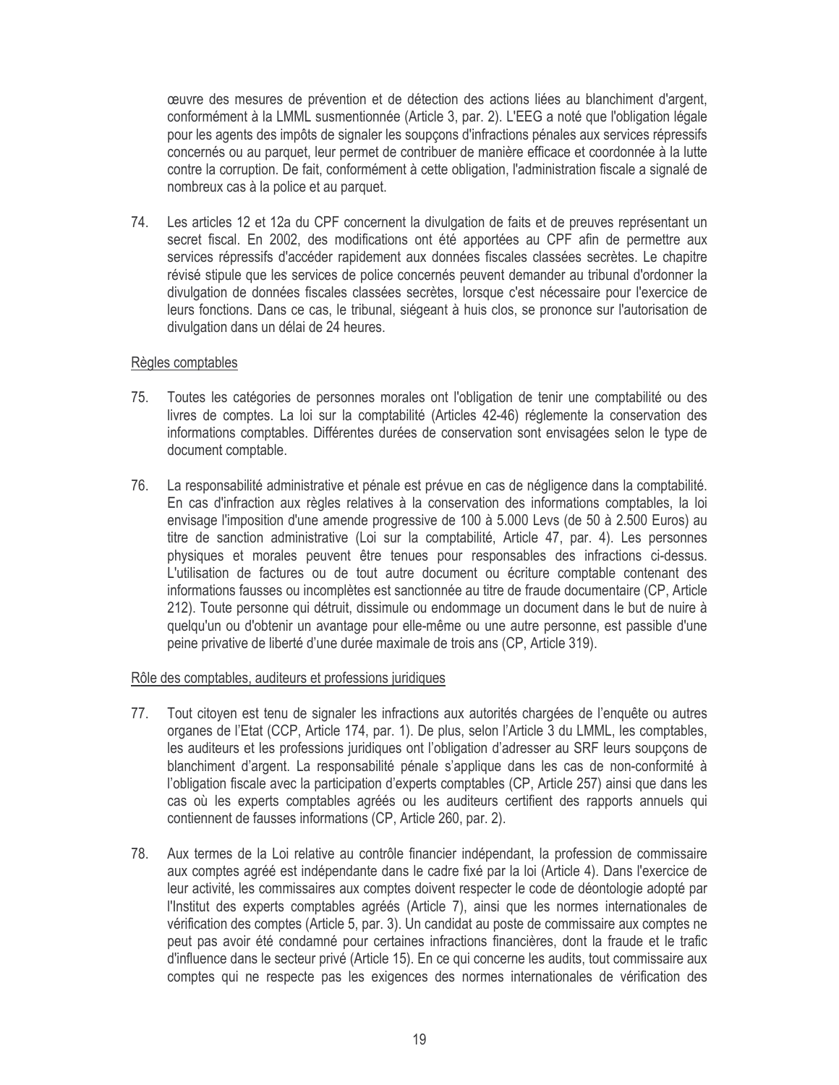œuvre des mesures de prévention et de détection des actions liées au blanchiment d'argent, conformément à la LMML susmentionnée (Article 3, par. 2). L'EEG a noté que l'obligation légale pour les agents des impôts de signaler les soupçons d'infractions pénales aux services répressifs concernés ou au parquet, leur permet de contribuer de manière efficace et coordonnée à la lutte contre la corruption. De fait, conformément à cette obligation, l'administration fiscale a signalé de nombreux cas à la police et au parquet.

74. Les articles 12 et 12a du CPF concernent la divulgation de faits et de preuves représentant un secret fiscal. En 2002, des modifications ont été apportées au CPF afin de permettre aux services répressifs d'accéder rapidement aux données fiscales classées secrètes. Le chapitre révisé stipule que les services de police concernés peuvent demander au tribunal d'ordonner la divulgation de données fiscales classées secrètes, lorsque c'est nécessaire pour l'exercice de leurs fonctions. Dans ce cas, le tribunal, siégeant à huis clos, se prononce sur l'autorisation de divulgation dans un délai de 24 heures.

## Règles comptables

- 75. Toutes les catégories de personnes morales ont l'obligation de tenir une comptabilité ou des livres de comptes. La loi sur la comptabilité (Articles 42-46) réglemente la conservation des informations comptables. Différentes durées de conservation sont envisagées selon le type de document comptable.
- 76. La responsabilité administrative et pénale est prévue en cas de négligence dans la comptabilité. En cas d'infraction aux règles relatives à la conservation des informations comptables, la loi envisage l'imposition d'une amende progressive de 100 à 5.000 Levs (de 50 à 2.500 Euros) au titre de sanction administrative (Loi sur la comptabilité, Article 47, par. 4). Les personnes physiques et morales peuvent être tenues pour responsables des infractions ci-dessus. L'utilisation de factures ou de tout autre document ou écriture comptable contenant des informations fausses ou incomplètes est sanctionnée au titre de fraude documentaire (CP, Article 212). Toute personne qui détruit, dissimule ou endommage un document dans le but de nuire à quelqu'un ou d'obtenir un avantage pour elle-même ou une autre personne, est passible d'une peine privative de liberté d'une durée maximale de trois ans (CP, Article 319).

## Rôle des comptables, auditeurs et professions juridiques

- 77. Tout citoyen est tenu de signaler les infractions aux autorités chargées de l'enguête ou autres organes de l'Etat (CCP, Article 174, par. 1). De plus, selon l'Article 3 du LMML, les comptables, les auditeurs et les professions juridiques ont l'obligation d'adresser au SRF leurs soupcons de blanchiment d'argent. La responsabilité pénale s'applique dans les cas de non-conformité à l'obligation fiscale avec la participation d'experts comptables (CP, Article 257) ainsi que dans les cas où les experts comptables agréés ou les auditeurs certifient des rapports annuels qui contiennent de fausses informations (CP, Article 260, par. 2).
- 78. Aux termes de la Loi relative au contrôle financier indépendant, la profession de commissaire aux comptes agréé est indépendante dans le cadre fixé par la loi (Article 4). Dans l'exercice de leur activité, les commissaires aux comptes doivent respecter le code de déontologie adopté par l'Institut des experts comptables agréés (Article 7), ainsi que les normes internationales de vérification des comptes (Article 5, par. 3). Un candidat au poste de commissaire aux comptes ne peut pas avoir été condamné pour certaines infractions financières, dont la fraude et le trafic d'influence dans le secteur privé (Article 15). En ce qui concerne les audits, tout commissaire aux comptes qui ne respecte pas les exigences des normes internationales de vérification des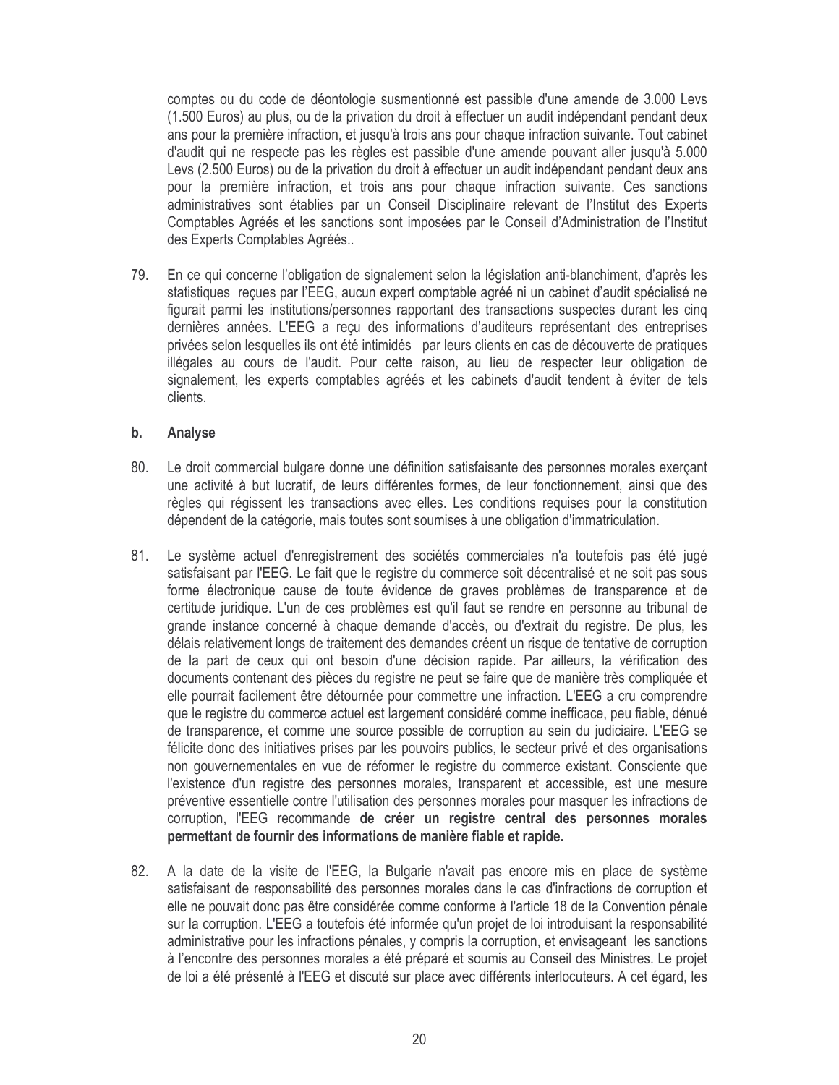comptes ou du code de déontologie susmentionné est passible d'une amende de 3.000 Levs (1.500 Euros) au plus, ou de la privation du droit à effectuer un audit indépendant pendant deux ans pour la première infraction, et jusqu'à trois ans pour chaque infraction suivante. Tout cabinet d'audit qui ne respecte pas les règles est passible d'une amende pouvant aller jusqu'à 5.000 Levs (2.500 Euros) ou de la privation du droit à effectuer un audit indépendant pendant deux ans pour la première infraction, et trois ans pour chaque infraction suivante. Ces sanctions administratives sont établies par un Conseil Disciplinaire relevant de l'Institut des Experts Comptables Agréés et les sanctions sont imposées par le Conseil d'Administration de l'Institut des Experts Comptables Agréés..

79. En ce qui concerne l'obligation de signalement selon la législation anti-blanchiment, d'après les statistiques reçues par l'EEG, aucun expert comptable agréé ni un cabinet d'audit spécialisé ne figurait parmi les institutions/personnes rapportant des transactions suspectes durant les cinq dernières années. L'EEG a reçu des informations d'auditeurs représentant des entreprises privées selon lesquelles ils ont été intimidés par leurs clients en cas de découverte de pratiques illégales au cours de l'audit. Pour cette raison, au lieu de respecter leur obligation de signalement, les experts comptables agréés et les cabinets d'audit tendent à éviter de tels clients.

#### **Analyse**  $b.$

- 80. Le droit commercial bulgare donne une définition satisfaisante des personnes morales exerçant une activité à but lucratif, de leurs différentes formes, de leur fonctionnement, ainsi que des règles qui régissent les transactions avec elles. Les conditions requises pour la constitution dépendent de la catégorie, mais toutes sont soumises à une obligation d'immatriculation.
- 81. Le système actuel d'enregistrement des sociétés commerciales n'a toutefois pas été jugé satisfaisant par l'EEG. Le fait que le registre du commerce soit décentralisé et ne soit pas sous forme électronique cause de toute évidence de graves problèmes de transparence et de certitude juridique. L'un de ces problèmes est qu'il faut se rendre en personne au tribunal de grande instance concerné à chaque demande d'accès, ou d'extrait du registre. De plus, les délais relativement longs de traitement des demandes créent un risque de tentative de corruption de la part de ceux qui ont besoin d'une décision rapide. Par ailleurs, la vérification des documents contenant des pièces du registre ne peut se faire que de manière très compliquée et elle pourrait facilement être détournée pour commettre une infraction. L'EEG a cru comprendre que le registre du commerce actuel est largement considéré comme inefficace, peu fiable, dénué de transparence, et comme une source possible de corruption au sein du judiciaire. L'EEG se félicite donc des initiatives prises par les pouvoirs publics, le secteur privé et des organisations non gouvernementales en vue de réformer le registre du commerce existant. Consciente que l'existence d'un registre des personnes morales, transparent et accessible, est une mesure préventive essentielle contre l'utilisation des personnes morales pour masquer les infractions de corruption, l'EEG recommande de créer un registre central des personnes morales permettant de fournir des informations de manière fiable et rapide.
- 82. A la date de la visite de l'EEG, la Bulgarie n'avait pas encore mis en place de système satisfaisant de responsabilité des personnes morales dans le cas d'infractions de corruption et elle ne pouvait donc pas être considérée comme conforme à l'article 18 de la Convention pénale sur la corruption. L'EEG a toutefois été informée qu'un projet de loi introduisant la responsabilité administrative pour les infractions pénales, y compris la corruption, et envisageant les sanctions à l'encontre des personnes morales a été préparé et soumis au Conseil des Ministres. Le projet de loi a été présenté à l'EEG et discuté sur place avec différents interlocuteurs. A cet égard, les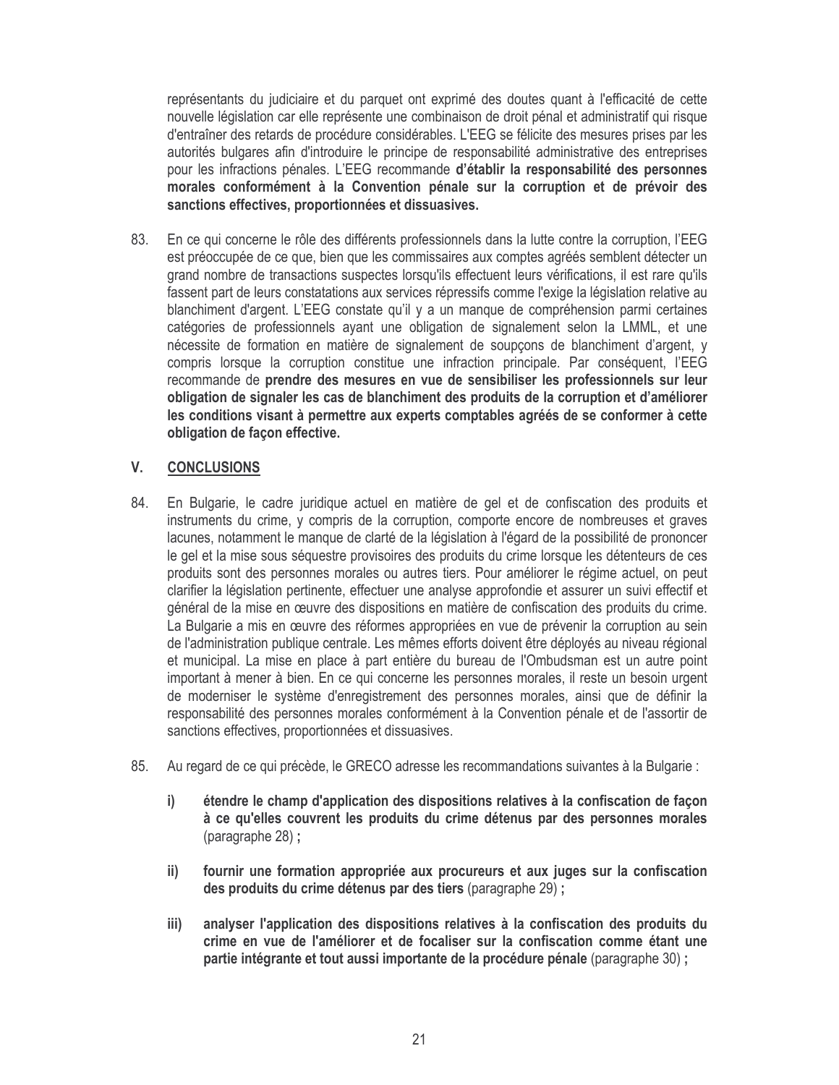représentants du judiciaire et du parquet ont exprimé des doutes quant à l'efficacité de cette nouvelle législation car elle représente une combinaison de droit pénal et administratif qui risque d'entraîner des retards de procédure considérables. L'EEG se félicite des mesures prises par les autorités bulgares afin d'introduire le principe de responsabilité administrative des entreprises pour les infractions pénales. L'EEG recommande d'établir la responsabilité des personnes morales conformément à la Convention pénale sur la corruption et de prévoir des sanctions effectives, proportionnées et dissuasives.

83. En ce qui concerne le rôle des différents professionnels dans la lutte contre la corruption, l'EEG est préoccupée de ce que, bien que les commissaires aux comptes agréés semblent détecter un grand nombre de transactions suspectes lorsqu'ils effectuent leurs vérifications, il est rare qu'ils fassent part de leurs constatations aux services répressifs comme l'exige la législation relative au blanchiment d'argent. L'EEG constate qu'il y a un manque de compréhension parmi certaines catégories de professionnels ayant une obligation de signalement selon la LMML, et une nécessite de formation en matière de signalement de soupçons de blanchiment d'argent, y compris lorsque la corruption constitue une infraction principale. Par conséquent, l'EEG recommande de prendre des mesures en vue de sensibiliser les professionnels sur leur obligation de signaler les cas de blanchiment des produits de la corruption et d'améliorer les conditions visant à permettre aux experts comptables agréés de se conformer à cette obligation de façon effective.

#### $V_{\cdot}$ **CONCLUSIONS**

- 84. En Bulgarie, le cadre juridique actuel en matière de gel et de confiscation des produits et instruments du crime, y compris de la corruption, comporte encore de nombreuses et graves lacunes, notamment le manque de clarté de la législation à l'égard de la possibilité de prononcer le gel et la mise sous séquestre provisoires des produits du crime lorsque les détenteurs de ces produits sont des personnes morales ou autres tiers. Pour améliorer le régime actuel, on peut clarifier la législation pertinente, effectuer une analyse approfondie et assurer un suivi effectif et général de la mise en œuvre des dispositions en matière de confiscation des produits du crime. La Bulgarie a mis en œuvre des réformes appropriées en vue de prévenir la corruption au sein de l'administration publique centrale. Les mêmes efforts doivent être déployés au niveau régional et municipal. La mise en place à part entière du bureau de l'Ombudsman est un autre point important à mener à bien. En ce qui concerne les personnes morales, il reste un besoin urgent de moderniser le système d'enregistrement des personnes morales, ainsi que de définir la responsabilité des personnes morales conformément à la Convention pénale et de l'assortir de sanctions effectives, proportionnées et dissuasives.
- 85. Au regard de ce qui précède, le GRECO adresse les recommandations suivantes à la Bulgarie :
	- $i)$ étendre le champ d'application des dispositions relatives à la confiscation de façon à ce qu'elles couvrent les produits du crime détenus par des personnes morales (paragraphe 28);
	- ii) fournir une formation appropriée aux procureurs et aux juges sur la confiscation des produits du crime détenus par des tiers (paragraphe 29) ;
	- analyser l'application des dispositions relatives à la confiscation des produits du iii) crime en vue de l'améliorer et de focaliser sur la confiscation comme étant une partie intégrante et tout aussi importante de la procédure pénale (paragraphe 30) ;